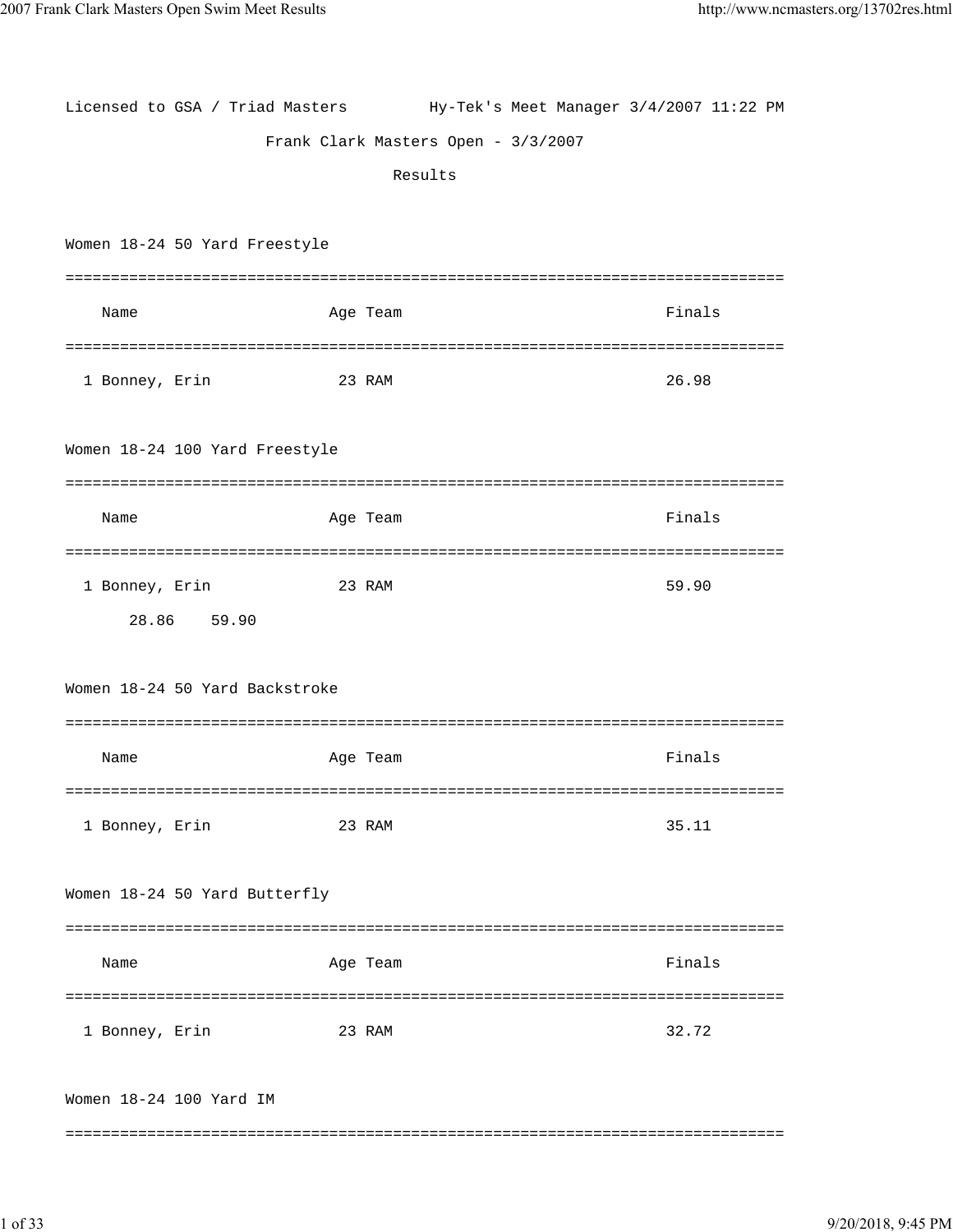| Licensed to GSA / Triad Masters Hy-Tek's Meet Manager 3/4/2007 11:22 PM |          |                                     |           |
|-------------------------------------------------------------------------|----------|-------------------------------------|-----------|
|                                                                         |          | Frank Clark Masters Open - 3/3/2007 |           |
|                                                                         |          | Results                             |           |
|                                                                         |          |                                     |           |
| Women 18-24 50 Yard Freestyle                                           |          |                                     |           |
|                                                                         |          |                                     |           |
| Name                                                                    | Age Team |                                     | Finals    |
|                                                                         |          |                                     |           |
| 1 Bonney, Erin                                                          | 23 RAM   |                                     | 26.98     |
|                                                                         |          |                                     |           |
| Women 18-24 100 Yard Freestyle                                          |          |                                     |           |
|                                                                         |          |                                     |           |
| Name                                                                    | Age Team |                                     | Finals    |
|                                                                         |          |                                     |           |
| 1 Bonney, Erin                                                          | 23 RAM   |                                     | 59.90     |
| 28.86 59.90                                                             |          |                                     |           |
|                                                                         |          |                                     |           |
| Women 18-24 50 Yard Backstroke                                          |          |                                     |           |
|                                                                         |          |                                     |           |
| Name                                                                    | Age Team |                                     | Finals    |
|                                                                         |          |                                     |           |
| 1 Bonney, Erin                                                          | 23 RAM   |                                     | 35.11     |
|                                                                         |          |                                     |           |
| Women 18-24 50 Yard Butterfly                                           |          |                                     |           |
|                                                                         |          |                                     |           |
| Name                                                                    | Age Team |                                     | Finals    |
|                                                                         |          |                                     | ========= |
| 1 Bonney, Erin                                                          | 23 RAM   |                                     | 32.72     |
|                                                                         |          |                                     |           |
| Women 18-24 100 Yard IM                                                 |          |                                     |           |
|                                                                         |          |                                     |           |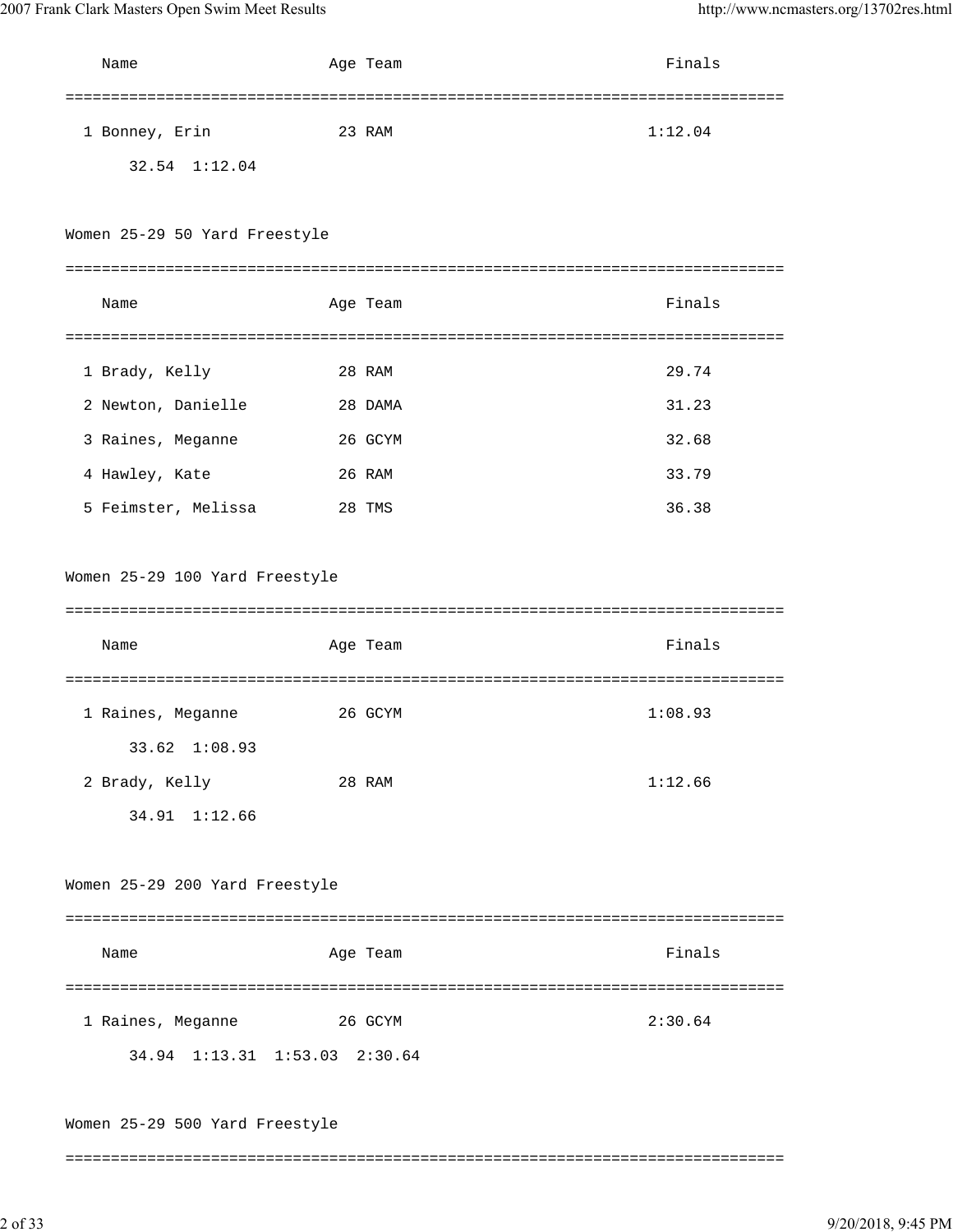| Name                           | Age Team | Finals  |
|--------------------------------|----------|---------|
|                                |          |         |
| 1 Bonney, Erin                 | 23 RAM   | 1:12.04 |
| 32.54 1:12.04                  |          |         |
|                                |          |         |
| Women 25-29 50 Yard Freestyle  |          |         |
|                                |          |         |
| Name                           | Age Team | Finals  |
|                                |          |         |
| 1 Brady, Kelly                 | 28 RAM   | 29.74   |
| 2 Newton, Danielle             | 28 DAMA  | 31.23   |
| 3 Raines, Meganne              | 26 GCYM  | 32.68   |
| 4 Hawley, Kate                 | 26 RAM   | 33.79   |
| 5 Feimster, Melissa            | 28 TMS   | 36.38   |
|                                |          |         |
| Women 25-29 100 Yard Freestyle |          |         |
|                                |          |         |
| Name                           | Age Team | Finals  |
|                                |          |         |
| 1 Raines, Meganne              | 26 GCYM  | 1:08.93 |
| 33.62 1:08.93                  |          |         |
| 2 Brady, Kelly                 | 28 RAM   | 1:12.66 |
| 34.91 1:12.66                  |          |         |
|                                |          |         |
| Women 25-29 200 Yard Freestyle |          |         |
|                                |          |         |
| Name                           | Age Team | Finals  |
|                                |          |         |
| 1 Raines, Meganne              | 26 GCYM  | 2:30.64 |
| 34.94 1:13.31 1:53.03 2:30.64  |          |         |
|                                |          |         |
| Women 25-29 500 Yard Freestyle |          |         |
|                                |          |         |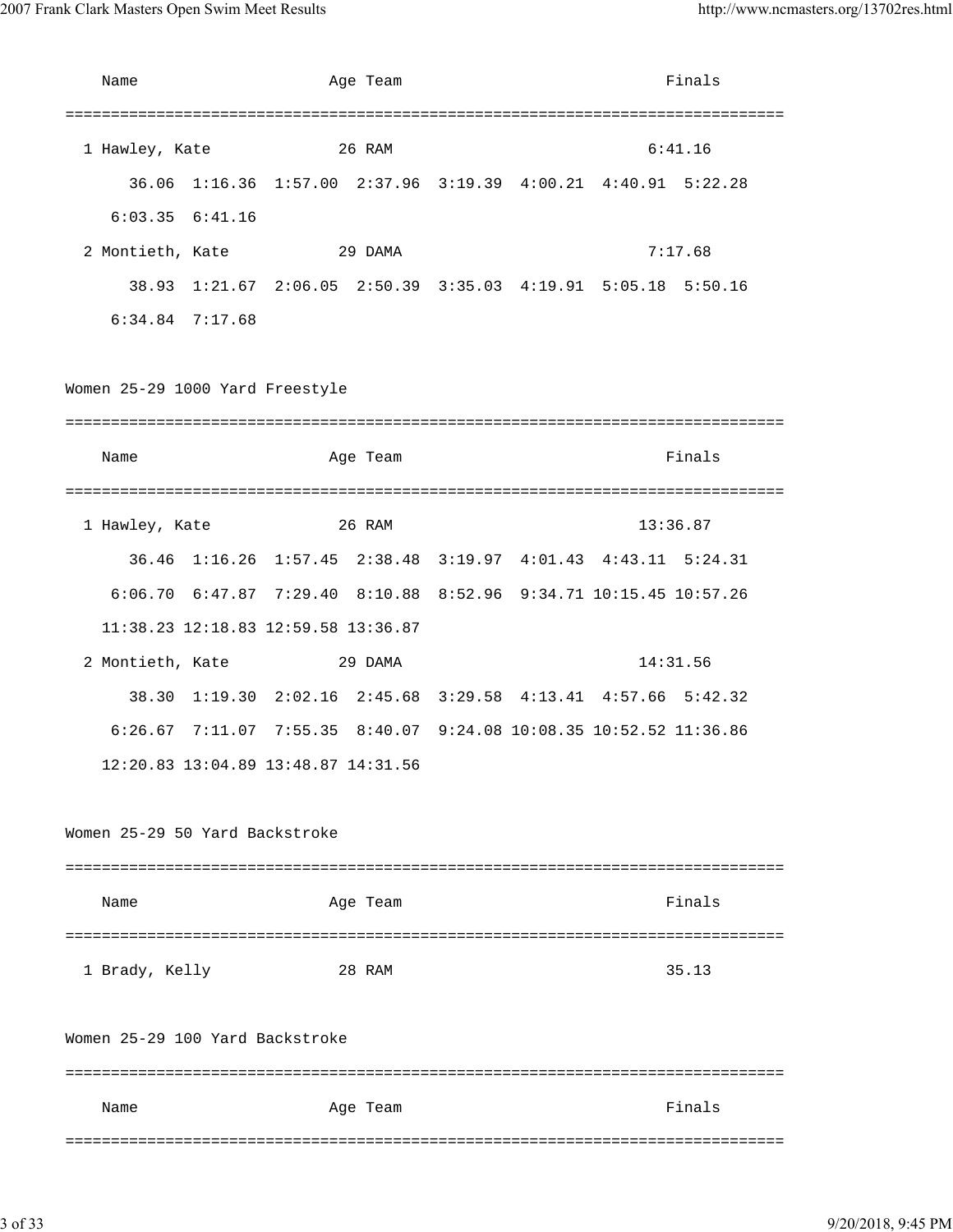| Name                            | Age Team                            | Finals                                                                |
|---------------------------------|-------------------------------------|-----------------------------------------------------------------------|
|                                 |                                     |                                                                       |
| 1 Hawley, Kate                  | 26 RAM                              | 6:41.16                                                               |
|                                 |                                     | 36.06 1:16.36 1:57.00 2:37.96 3:19.39 4:00.21 4:40.91 5:22.28         |
| $6:03.35$ $6:41.16$             |                                     |                                                                       |
| 2 Montieth, Kate                | 29 DAMA                             | 7:17.68                                                               |
|                                 |                                     | 38.93 1:21.67 2:06.05 2:50.39 3:35.03 4:19.91 5:05.18 5:50.16         |
| $6:34.84$ 7:17.68               |                                     |                                                                       |
| Women 25-29 1000 Yard Freestyle |                                     |                                                                       |
|                                 |                                     | Finals                                                                |
| Name                            | Age Team                            |                                                                       |
|                                 |                                     |                                                                       |
| 1 Hawley, Kate                  | 26 RAM                              | 13:36.87                                                              |
|                                 |                                     | 36.46 1:16.26 1:57.45 2:38.48 3:19.97 4:01.43 4:43.11 5:24.31         |
|                                 |                                     | 6:06.70 6:47.87 7:29.40 8:10.88 8:52.96 9:34.71 10:15.45 10:57.26     |
|                                 | 11:38.23 12:18.83 12:59.58 13:36.87 |                                                                       |
| 2 Montieth, Kate                | 29 DAMA                             | 14:31.56                                                              |
| 38.30                           |                                     | $1:19.30$ $2:02.16$ $2:45.68$ $3:29.58$ $4:13.41$ $4:57.66$ $5:42.32$ |
|                                 |                                     | 6:26.67 7:11.07 7:55.35 8:40.07 9:24.08 10:08.35 10:52.52 11:36.86    |
|                                 | 12:20.83 13:04.89 13:48.87 14:31.56 |                                                                       |
| Women 25-29 50 Yard Backstroke  |                                     |                                                                       |
| Name                            | Age Team                            | Finals                                                                |
|                                 |                                     |                                                                       |
| 1 Brady, Kelly                  | 28 RAM                              | 35.13                                                                 |
| Women 25-29 100 Yard Backstroke |                                     |                                                                       |
| Name                            | Age Team                            | Finals                                                                |
|                                 |                                     |                                                                       |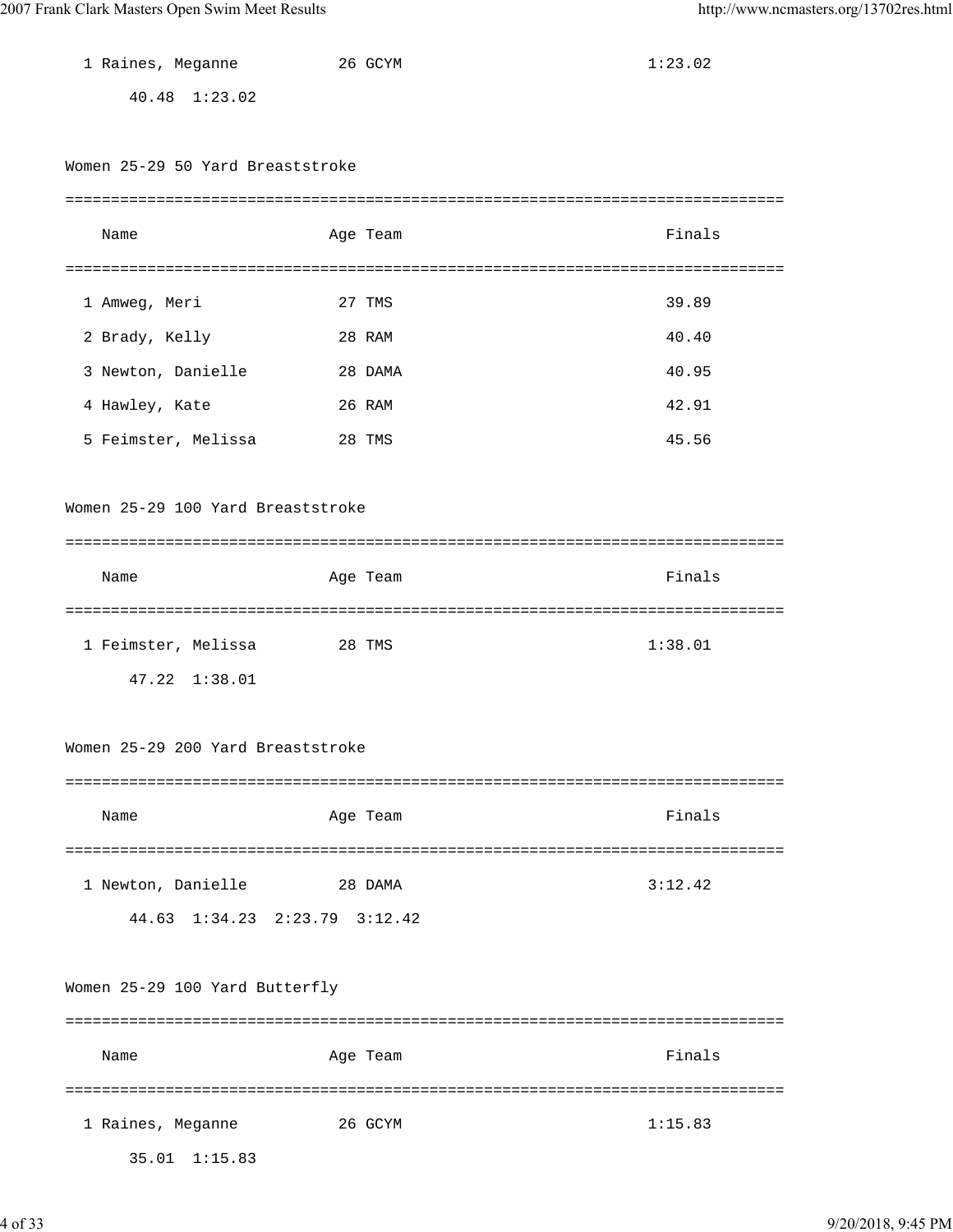| 1 Raines, Meganne                 | 26 GCYM  | 1:23.02 |
|-----------------------------------|----------|---------|
| 40.48 1:23.02                     |          |         |
|                                   |          |         |
| Women 25-29 50 Yard Breaststroke  |          |         |
|                                   |          |         |
| Name                              | Age Team | Finals  |
|                                   |          |         |
| 1 Amweg, Meri                     | 27 TMS   | 39.89   |
| 2 Brady, Kelly                    | 28 RAM   | 40.40   |
| 3 Newton, Danielle                | 28 DAMA  | 40.95   |
| 4 Hawley, Kate                    | 26 RAM   | 42.91   |
| 5 Feimster, Melissa               | 28 TMS   | 45.56   |
|                                   |          |         |
| Women 25-29 100 Yard Breaststroke |          |         |
|                                   |          |         |
| Name                              | Age Team | Finals  |
|                                   |          |         |
| 1 Feimster, Melissa 28 TMS        |          | 1:38.01 |
| 47.22 1:38.01                     |          |         |
|                                   |          |         |
| Women 25–29 200 Yard Breaststroke |          |         |
|                                   |          |         |
| Name                              | Age Team | Finals  |
|                                   |          |         |
| 1 Newton, Danielle                | 28 DAMA  | 3:12.42 |
| 44.63 1:34.23 2:23.79 3:12.42     |          |         |
|                                   |          |         |
| Women 25-29 100 Yard Butterfly    |          |         |
|                                   |          |         |
| Name                              | Age Team | Finals  |
|                                   |          |         |
| 1 Raines, Meganne                 | 26 GCYM  | 1:15.83 |

35.01 1:15.83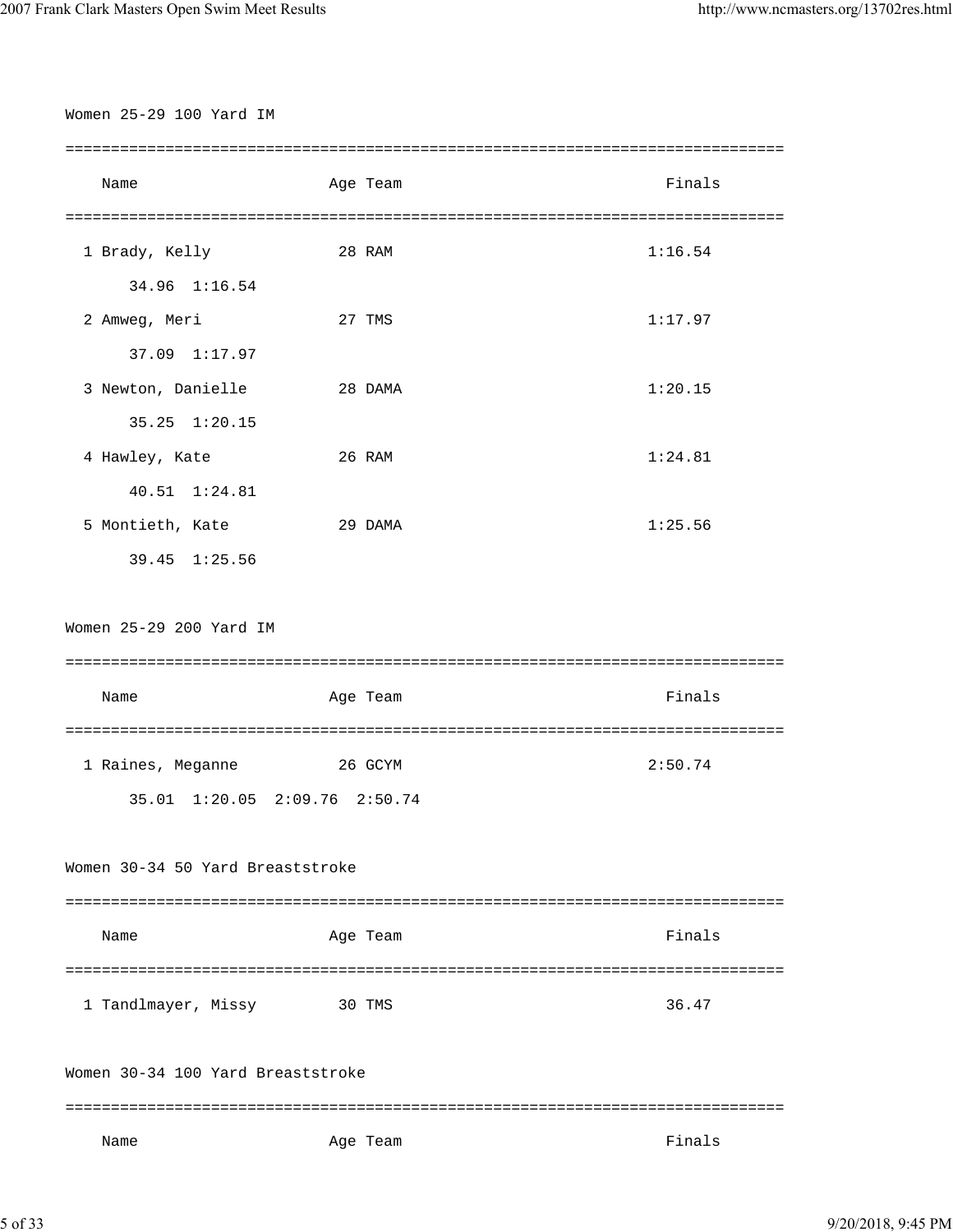| Women 25-29 100 Yard IM           |          |         |
|-----------------------------------|----------|---------|
| Name                              | Age Team | Finals  |
|                                   |          |         |
| 1 Brady, Kelly                    | 28 RAM   | 1:16.54 |
| 34.96 1:16.54                     |          |         |
| 2 Amweg, Meri                     | 27 TMS   | 1:17.97 |
| 37.09 1:17.97                     |          |         |
| 3 Newton, Danielle                | 28 DAMA  | 1:20.15 |
| 35.25 1:20.15                     |          |         |
| 4 Hawley, Kate                    | 26 RAM   | 1:24.81 |
| 40.51 1:24.81                     |          |         |
| 5 Montieth, Kate                  | 29 DAMA  | 1:25.56 |
| 39.45 1:25.56                     |          |         |
|                                   |          |         |
| Women 25-29 200 Yard IM           |          |         |
|                                   |          |         |
| Name                              | Age Team | Finals  |
|                                   |          |         |
| 1 Raines, Meganne                 | 26 GCYM  | 2:50.74 |
| 35.01 1:20.05 2:09.76 2:50.74     |          |         |
|                                   |          |         |
| Women 30-34 50 Yard Breaststroke  |          |         |
|                                   |          |         |
| Name                              | Age Team | Finals  |
|                                   |          |         |
| 1 Tandlmayer, Missy               | 30 TMS   | 36.47   |
| Women 30-34 100 Yard Breaststroke |          |         |
| Name                              | Age Team | Finals  |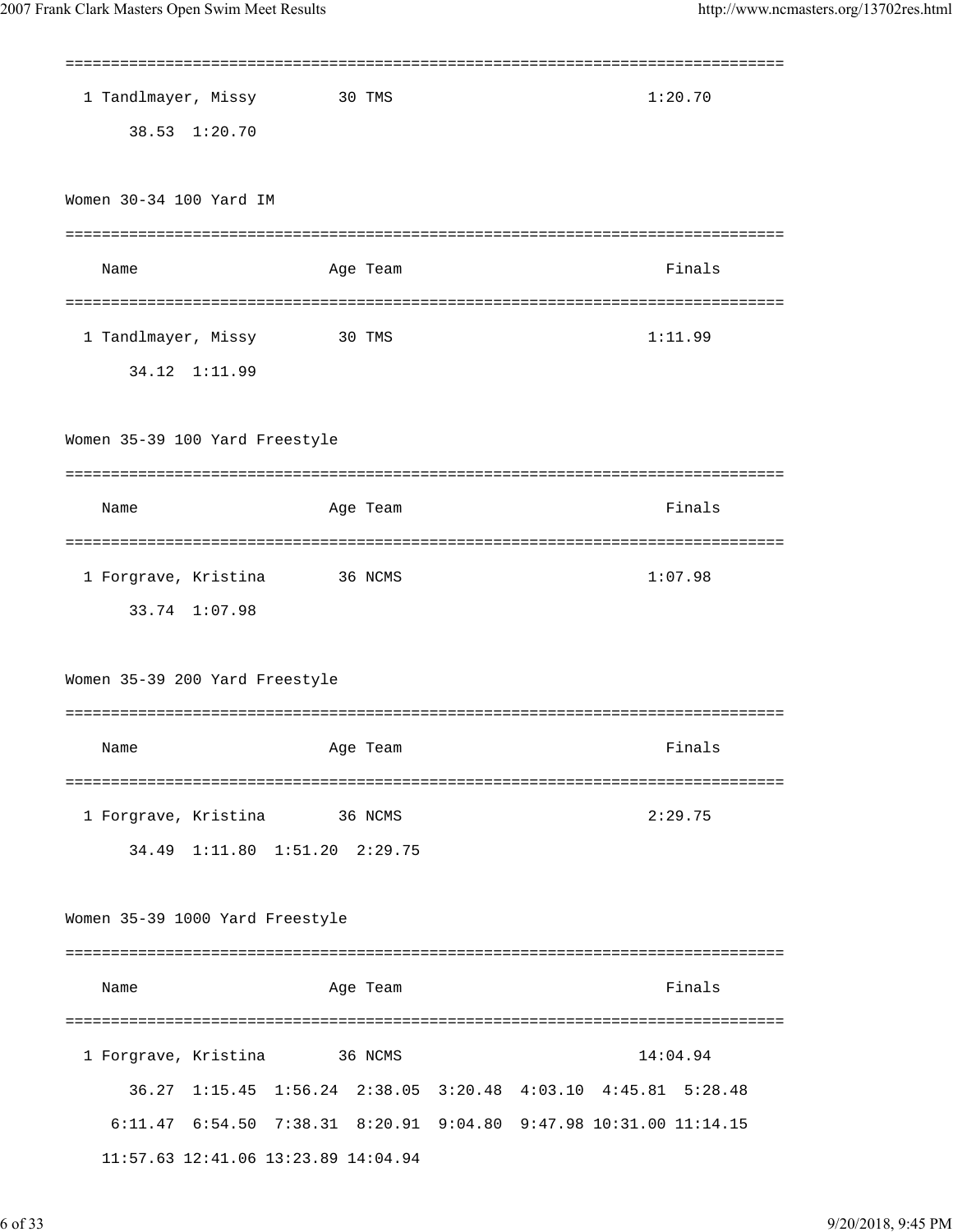| 1 Tandlmayer, Missy<br>1:20.70<br>30 TMS                                                                                                  |  |
|-------------------------------------------------------------------------------------------------------------------------------------------|--|
| 38.53 1:20.70                                                                                                                             |  |
|                                                                                                                                           |  |
| Women 30-34 100 Yard IM                                                                                                                   |  |
|                                                                                                                                           |  |
| Finals<br>Name<br>Age Team                                                                                                                |  |
|                                                                                                                                           |  |
| 1 Tandlmayer, Missy<br>1:11.99<br>30 TMS                                                                                                  |  |
| 34.12 1:11.99                                                                                                                             |  |
|                                                                                                                                           |  |
| Women 35-39 100 Yard Freestyle                                                                                                            |  |
|                                                                                                                                           |  |
| Finals<br>Name<br>Age Team                                                                                                                |  |
|                                                                                                                                           |  |
| 1 Forgrave, Kristina<br>1:07.98<br>36 NCMS                                                                                                |  |
| 33.74 1:07.98                                                                                                                             |  |
|                                                                                                                                           |  |
| Women 35-39 200 Yard Freestyle                                                                                                            |  |
|                                                                                                                                           |  |
| Finals<br>Age Team<br>Name                                                                                                                |  |
|                                                                                                                                           |  |
| 1 Forgrave, Kristina<br>2:29.75<br>36 NCMS                                                                                                |  |
| 34.49 1:11.80 1:51.20 2:29.75                                                                                                             |  |
|                                                                                                                                           |  |
| Women 35-39 1000 Yard Freestyle                                                                                                           |  |
|                                                                                                                                           |  |
| Finals<br>Name<br>Age Team                                                                                                                |  |
|                                                                                                                                           |  |
| 1 Forgrave, Kristina<br>14:04.94<br>36 NCMS                                                                                               |  |
|                                                                                                                                           |  |
|                                                                                                                                           |  |
| 36.27 1:15.45 1:56.24 2:38.05 3:20.48 4:03.10 4:45.81 5:28.48<br>6:11.47  6:54.50  7:38.31  8:20.91  9:04.80  9:47.98  10:31.00  11:14.15 |  |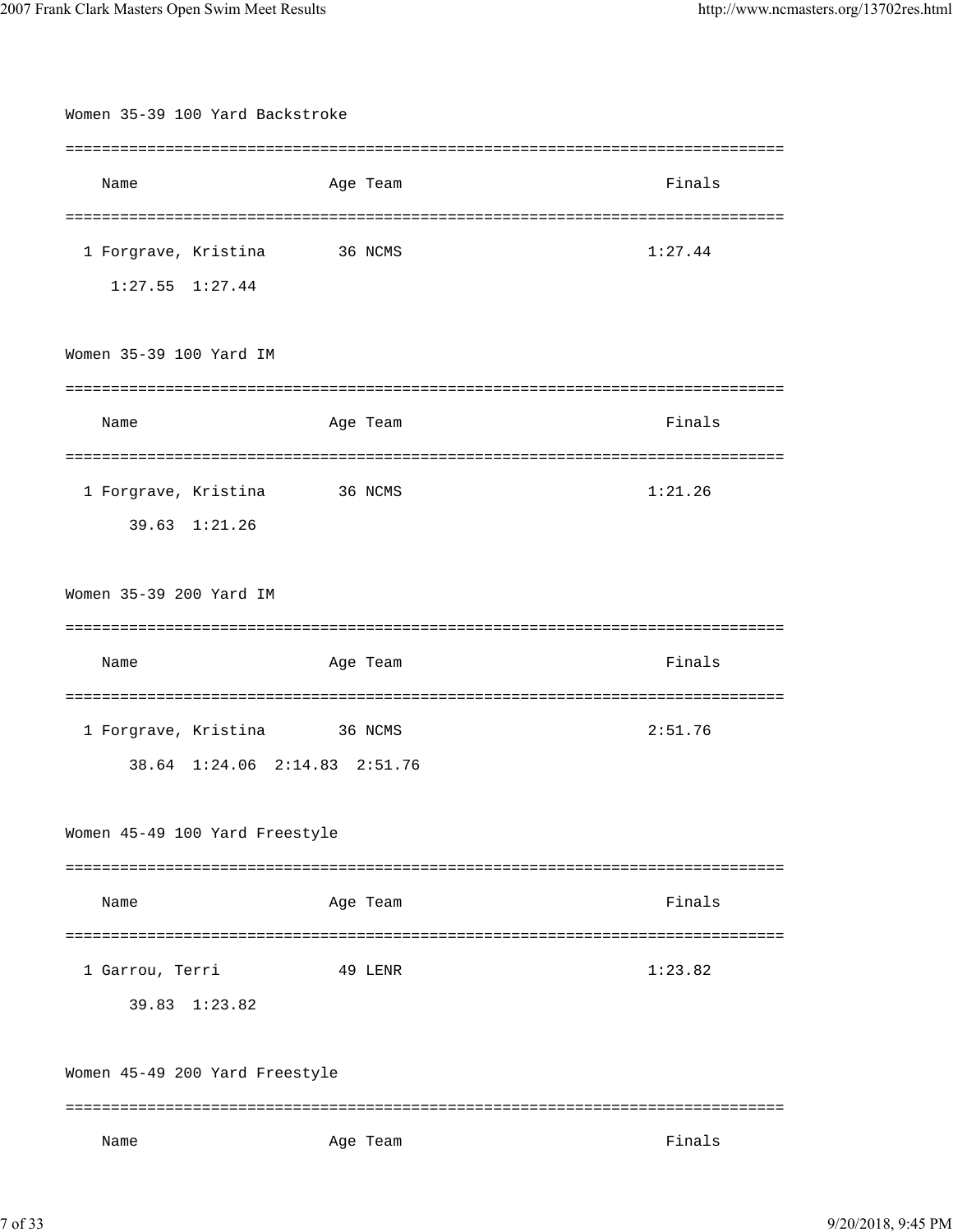| Women 35-39 100 Yard Backstroke |          |         |  |
|---------------------------------|----------|---------|--|
|                                 |          |         |  |
| Name                            | Age Team | Finals  |  |
|                                 |          |         |  |
| 1 Forgrave, Kristina            | 36 NCMS  | 1:27.44 |  |
| $1:27.55$ $1:27.44$             |          |         |  |
|                                 |          |         |  |
| Women 35-39 100 Yard IM         |          |         |  |
|                                 |          | ======= |  |
| Name                            | Age Team | Finals  |  |
|                                 |          |         |  |
| 1 Forgrave, Kristina            | 36 NCMS  | 1:21.26 |  |
| 39.63 1:21.26                   |          |         |  |
|                                 |          |         |  |
| Women 35-39 200 Yard IM         |          |         |  |
|                                 |          | ======= |  |
| Name                            | Age Team | Finals  |  |
|                                 |          |         |  |
| 1 Forgrave, Kristina            | 36 NCMS  | 2:51.76 |  |
| 38.64 1:24.06 2:14.83 2:51.76   |          |         |  |
|                                 |          |         |  |
| Women 45-49 100 Yard Freestyle  |          |         |  |
|                                 |          |         |  |
| Name                            | Age Team | Finals  |  |
|                                 |          |         |  |
| 1 Garrou, Terri                 | 49 LENR  | 1:23.82 |  |
| 39.83 1:23.82                   |          |         |  |
|                                 |          |         |  |
| Women 45-49 200 Yard Freestyle  |          |         |  |
|                                 |          |         |  |
| Name                            | Age Team | Finals  |  |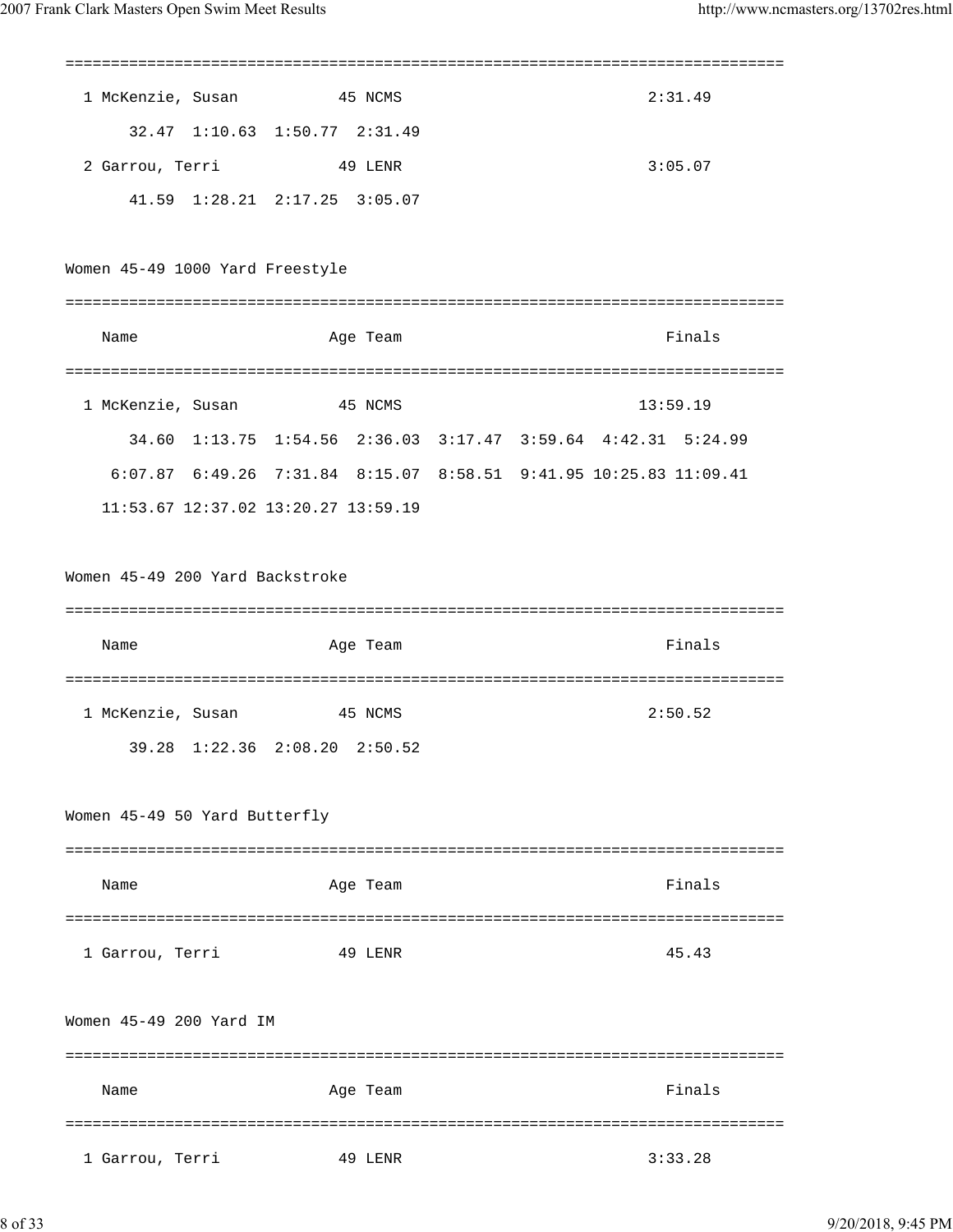| 1 McKenzie, Susan               | 45 NCMS                                                           |  |  | 2:31.49  |
|---------------------------------|-------------------------------------------------------------------|--|--|----------|
|                                 | 32.47 1:10.63 1:50.77 2:31.49                                     |  |  |          |
|                                 | 2 Garrou, Terri 49 LENR                                           |  |  | 3:05.07  |
|                                 | 41.59 1:28.21 2:17.25 3:05.07                                     |  |  |          |
|                                 |                                                                   |  |  |          |
| Women 45-49 1000 Yard Freestyle |                                                                   |  |  |          |
|                                 |                                                                   |  |  |          |
| Name                            | Age Team                                                          |  |  | Finals   |
|                                 |                                                                   |  |  |          |
|                                 | 1 McKenzie, Susan 45 NCMS                                         |  |  | 13:59.19 |
|                                 | 34.60 1:13.75 1:54.56 2:36.03 3:17.47 3:59.64 4:42.31 5:24.99     |  |  |          |
|                                 | 6:07.87 6:49.26 7:31.84 8:15.07 8:58.51 9:41.95 10:25.83 11:09.41 |  |  |          |
|                                 | 11:53.67 12:37.02 13:20.27 13:59.19                               |  |  |          |
|                                 |                                                                   |  |  |          |
| Women 45-49 200 Yard Backstroke |                                                                   |  |  |          |
|                                 |                                                                   |  |  |          |
| Name                            | Age Team                                                          |  |  | Finals   |
|                                 |                                                                   |  |  |          |
| 1 McKenzie, Susan               | 45 NCMS                                                           |  |  | 2:50.52  |
|                                 | 39.28 1:22.36 2:08.20 2:50.52                                     |  |  |          |
|                                 |                                                                   |  |  |          |
| Women 45-49 50 Yard Butterfly   |                                                                   |  |  |          |
|                                 |                                                                   |  |  |          |
| Name                            | Age Team                                                          |  |  | Finals   |
|                                 |                                                                   |  |  |          |
| 1 Garrou, Terri                 | 49 LENR                                                           |  |  | 45.43    |
|                                 |                                                                   |  |  |          |
| Women 45-49 200 Yard IM         |                                                                   |  |  |          |
|                                 |                                                                   |  |  |          |
| Name                            | Age Team                                                          |  |  | Finals   |
|                                 |                                                                   |  |  |          |
| 1 Garrou, Terri                 | 49 LENR                                                           |  |  | 3:33.28  |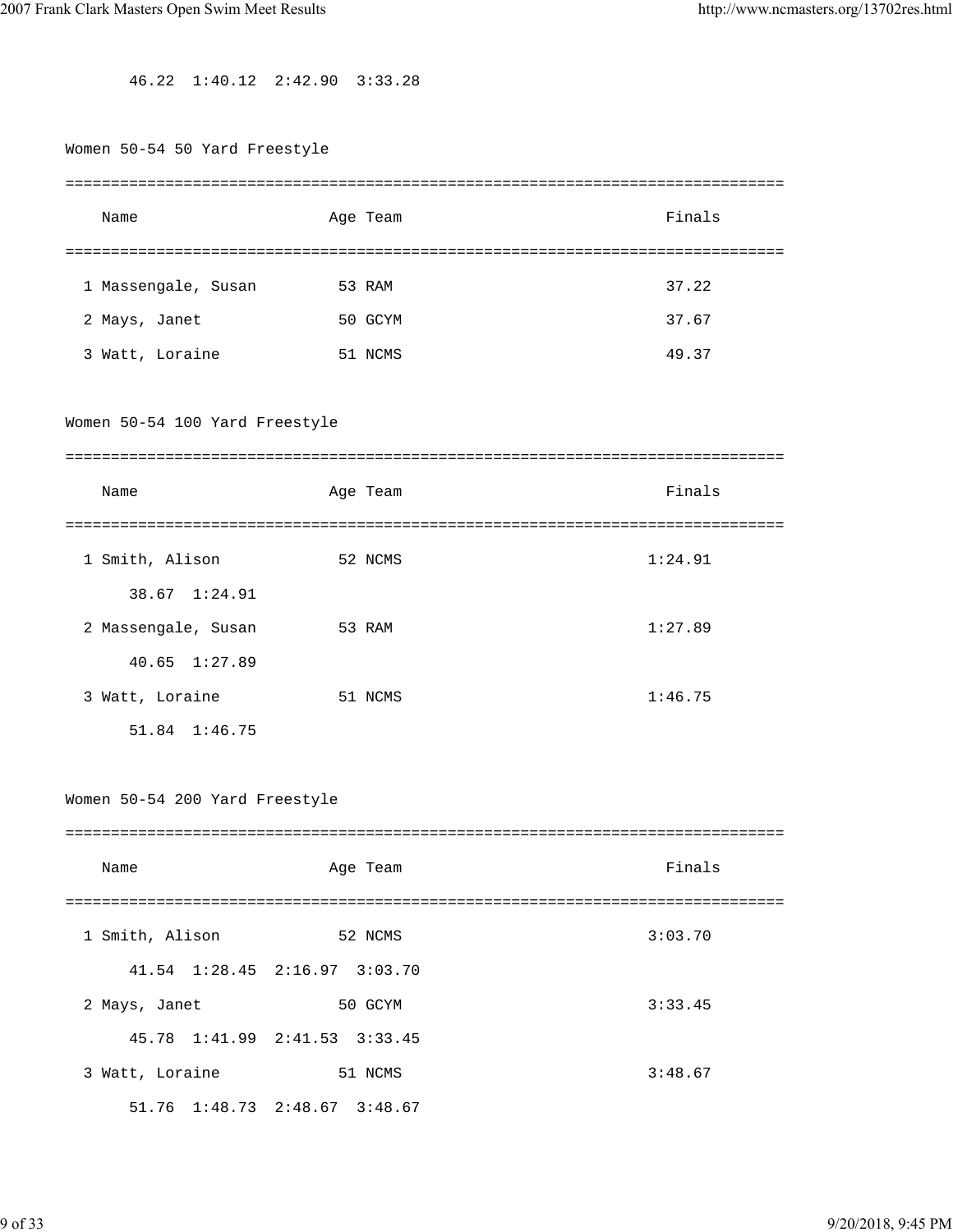46.22 1:40.12 2:42.90 3:33.28

| Women 50-54 50 Yard Freestyle  |                               |         |
|--------------------------------|-------------------------------|---------|
| Name                           | Age Team                      | Finals  |
| 1 Massengale, Susan            | 53 RAM                        | 37.22   |
| 2 Mays, Janet                  | 50 GCYM                       | 37.67   |
| 3 Watt, Loraine                | 51 NCMS                       | 49.37   |
| Women 50-54 100 Yard Freestyle |                               |         |
| Name                           | Age Team                      | Finals  |
| 1 Smith, Alison                | 52 NCMS                       | 1:24.91 |
| 38.67 1:24.91                  |                               |         |
| 2 Massengale, Susan            | 53 RAM                        | 1:27.89 |
| 40.65 1:27.89                  |                               |         |
| 3 Watt, Loraine                | 51 NCMS                       | 1:46.75 |
| 51.84 1:46.75                  |                               |         |
| Women 50-54 200 Yard Freestyle |                               |         |
| Name                           | Age Team                      | Finals  |
| 1 Smith, Alison                | 52 NCMS                       | 3:03.70 |
| 41.54 1:28.45 2:16.97 3:03.70  |                               |         |
| 2 Mays, Janet                  | 50 GCYM                       | 3:33.45 |
| 45.78 1:41.99 2:41.53 3:33.45  |                               |         |
| 3 Watt, Loraine                | 51 NCMS                       | 3:48.67 |
|                                | 51.76 1:48.73 2:48.67 3:48.67 |         |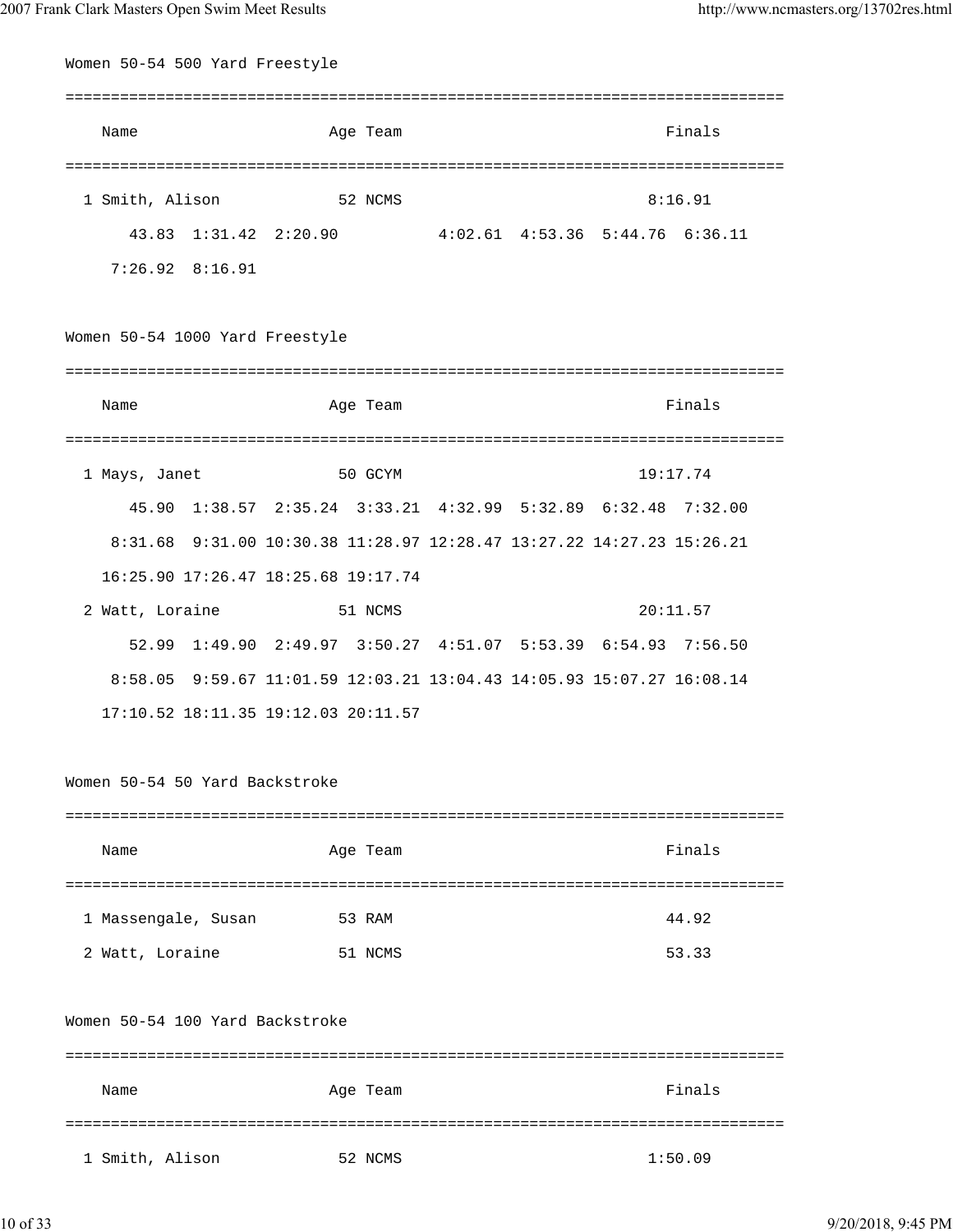| Women 50-54 500 Yard Freestyle  |                                                                       |                                         |  |          |
|---------------------------------|-----------------------------------------------------------------------|-----------------------------------------|--|----------|
| Name                            | Age Team                                                              |                                         |  | Finals   |
| 1 Smith, Alison                 | 52 NCMS                                                               |                                         |  | 8:16.91  |
|                                 |                                                                       |                                         |  |          |
| 43.83 1:31.42 2:20.90           |                                                                       | $4:02.61$ $4:53.36$ $5:44.76$ $6:36.11$ |  |          |
| $7:26.92$ $8:16.91$             |                                                                       |                                         |  |          |
| Women 50-54 1000 Yard Freestyle |                                                                       |                                         |  |          |
|                                 |                                                                       |                                         |  |          |
| Name                            | Age Team                                                              |                                         |  | Finals   |
| 1 Mays, Janet                   | 50 GCYM                                                               |                                         |  | 19:17.74 |
|                                 | 45.90 1:38.57 2:35.24 3:33.21 4:32.99 5:32.89 6:32.48 7:32.00         |                                         |  |          |
|                                 | 8:31.68 9:31.00 10:30.38 11:28.97 12:28.47 13:27.22 14:27.23 15:26.21 |                                         |  |          |
|                                 | 16:25.90 17:26.47 18:25.68 19:17.74                                   |                                         |  |          |
| 2 Watt, Loraine                 | 51 NCMS                                                               |                                         |  | 20:11.57 |
|                                 | 52.99 1:49.90 2:49.97 3:50.27 4:51.07 5:53.39 6:54.93 7:56.50         |                                         |  |          |
|                                 | 8:58.05 9:59.67 11:01.59 12:03.21 13:04.43 14:05.93 15:07.27 16:08.14 |                                         |  |          |
|                                 | 17:10.52 18:11.35 19:12.03 20:11.57                                   |                                         |  |          |
| Women 50-54 50 Yard Backstroke  |                                                                       |                                         |  |          |
|                                 |                                                                       |                                         |  |          |
| Name                            | Age Team                                                              |                                         |  | Finals   |
| 1 Massengale, Susan             | 53 RAM                                                                |                                         |  | 44.92    |
| 2 Watt, Loraine                 | 51 NCMS                                                               |                                         |  | 53.33    |
| Women 50-54 100 Yard Backstroke |                                                                       |                                         |  |          |
| Name                            | Age Team                                                              |                                         |  | Finals   |
|                                 |                                                                       |                                         |  |          |
| 1 Smith, Alison                 | 52 NCMS                                                               |                                         |  | 1:50.09  |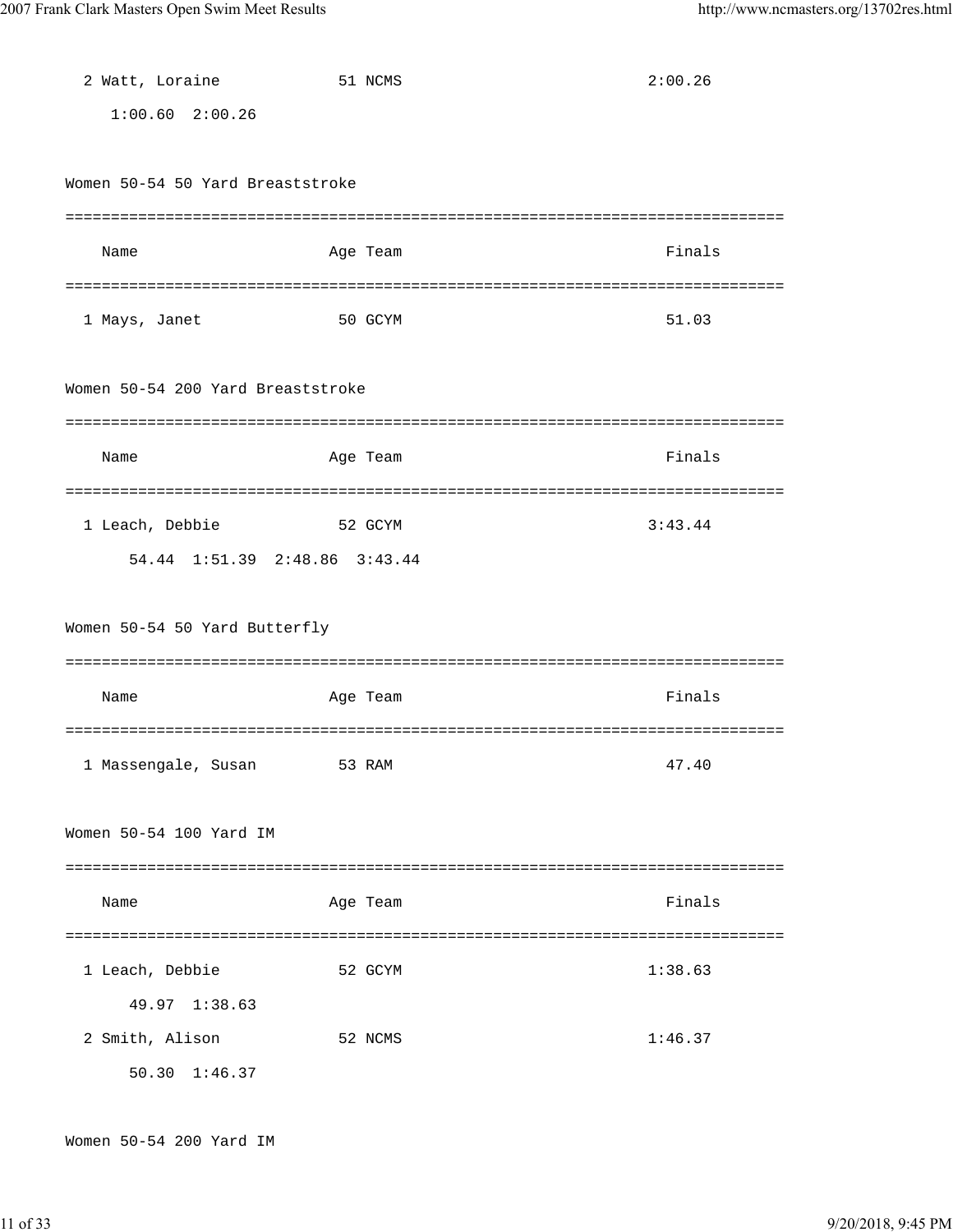| 2 Watt, Loraine                   | 51 NCMS  | 2:00.26 |
|-----------------------------------|----------|---------|
| $1:00.60$ $2:00.26$               |          |         |
|                                   |          |         |
| Women 50-54 50 Yard Breaststroke  |          |         |
|                                   |          |         |
| Name                              | Age Team | Finals  |
|                                   |          |         |
| 1 Mays, Janet                     | 50 GCYM  | 51.03   |
|                                   |          |         |
| Women 50-54 200 Yard Breaststroke |          |         |
|                                   |          |         |
| Name                              | Age Team | Finals  |
|                                   |          |         |
| 1 Leach, Debbie                   | 52 GCYM  | 3:43.44 |
| 54.44 1:51.39 2:48.86 3:43.44     |          |         |
|                                   |          |         |
| Women 50-54 50 Yard Butterfly     |          |         |
|                                   |          |         |
| Name                              | Age Team | Finals  |
|                                   |          |         |
| 1 Massengale, Susan               | 53 RAM   | 47.40   |
|                                   |          |         |
| Women 50-54 100 Yard IM           |          |         |
|                                   |          |         |
| Name                              | Age Team | Finals  |
|                                   |          |         |
| 1 Leach, Debbie                   | 52 GCYM  | 1:38.63 |
| 49.97 1:38.63                     |          |         |
| 2 Smith, Alison                   | 52 NCMS  | 1:46.37 |
| 50.30 1:46.37                     |          |         |

Women 50-54 200 Yard IM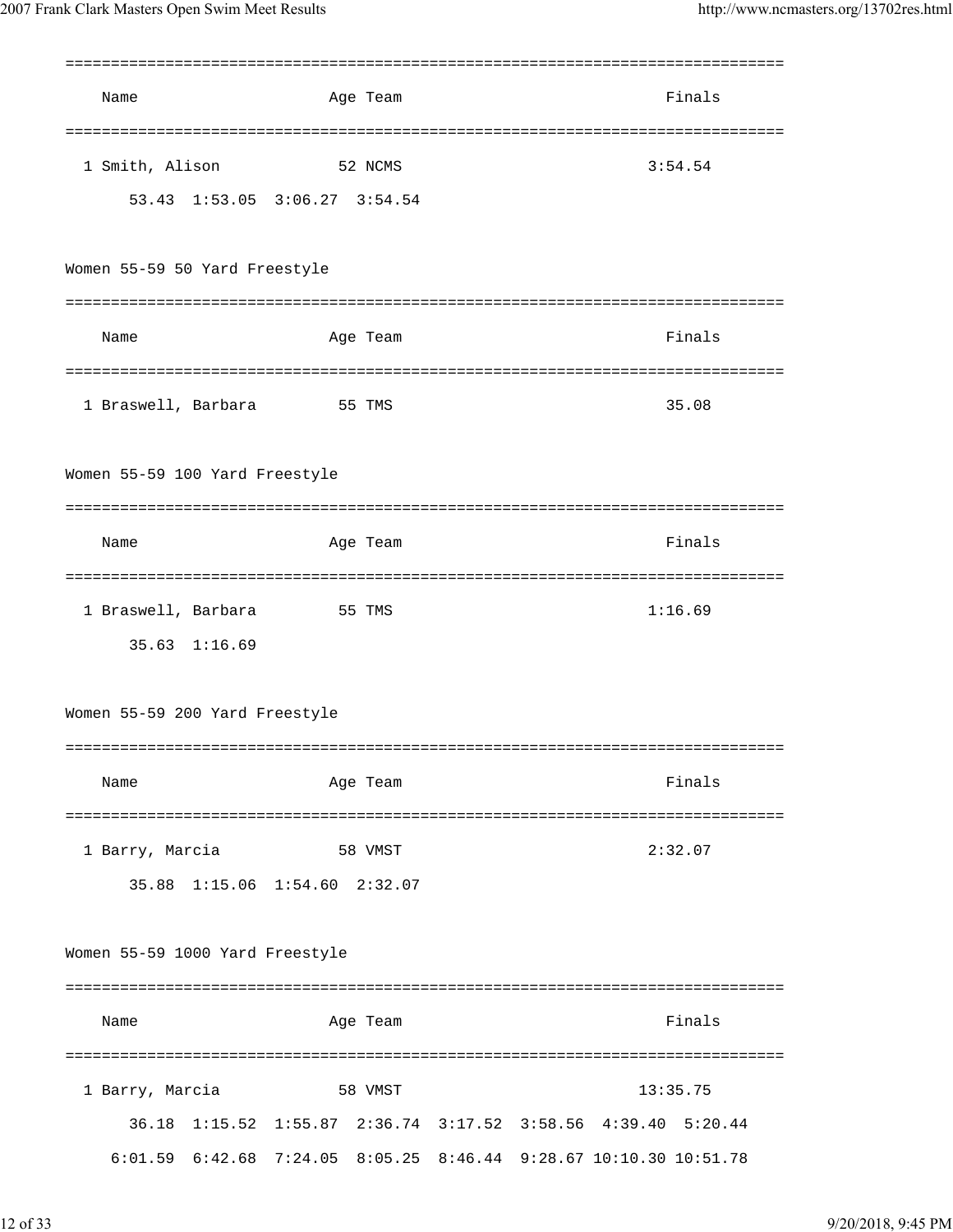| Name                            | Age Team                                                             | Finals                                                                                                     |
|---------------------------------|----------------------------------------------------------------------|------------------------------------------------------------------------------------------------------------|
| 1 Smith, Alison                 | :=======================<br>52 NCMS<br>53.43 1:53.05 3:06.27 3:54.54 | 3:54.54                                                                                                    |
| Women 55-59 50 Yard Freestyle   |                                                                      |                                                                                                            |
| Name                            | Age Team                                                             | Finals                                                                                                     |
|                                 | 1 Braswell, Barbara 55 TMS                                           | 35.08                                                                                                      |
| Women 55-59 100 Yard Freestyle  |                                                                      |                                                                                                            |
| Name                            | Age Team                                                             | Finals                                                                                                     |
| 35.63 1:16.69                   | 1 Braswell, Barbara 55 TMS                                           | 1:16.69                                                                                                    |
| Women 55-59 200 Yard Freestyle  |                                                                      |                                                                                                            |
| Name                            | Age Team                                                             | Finals                                                                                                     |
| 1 Barry, Marcia                 | 58 VMST<br>35.88 1:15.06 1:54.60 2:32.07                             | 2:32.07                                                                                                    |
| Women 55-59 1000 Yard Freestyle |                                                                      |                                                                                                            |
| Name                            | Age Team                                                             | Finals                                                                                                     |
| 1 Barry, Marcia                 | 58 VMST                                                              | 13:35.75                                                                                                   |
| $6:01.59$ $6:42.68$ $7:24.05$   |                                                                      | 36.18 1:15.52 1:55.87 2:36.74 3:17.52 3:58.56 4:39.40 5:20.44<br>8:05.25 8:46.44 9:28.67 10:10.30 10:51.78 |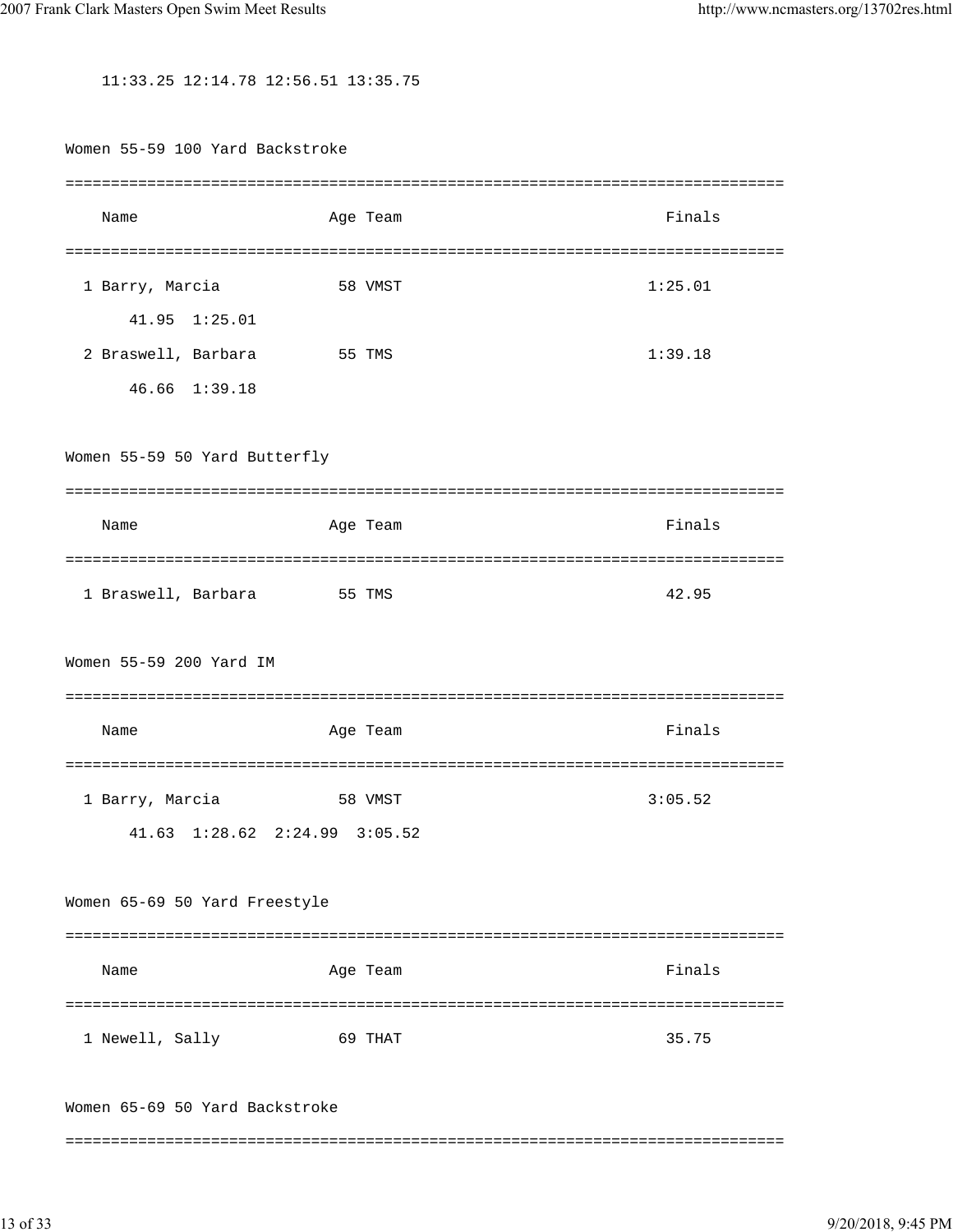11:33.25 12:14.78 12:56.51 13:35.75

Women 55-59 100 Yard Backstroke =============================================================================== Name Age Team Age Team Finals =============================================================================== 1 Barry, Marcia 58 VMST 1:25.01 41.95 1:25.01 2 Braswell, Barbara 55 TMS 1:39.18 46.66 1:39.18 Women 55-59 50 Yard Butterfly =============================================================================== Name **Age Team** Age Team Finals =============================================================================== 1 Braswell, Barbara 55 TMS 42.95 Women 55-59 200 Yard IM =============================================================================== Name **Age Team** Age Team Finals =============================================================================== 1 Barry, Marcia 58 VMST 3:05.52 41.63 1:28.62 2:24.99 3:05.52 Women 65-69 50 Yard Freestyle =============================================================================== Name **Age Team** Age Team **Finals** =============================================================================== 1 Newell, Sally 69 THAT 35.75 Women 65-69 50 Yard Backstroke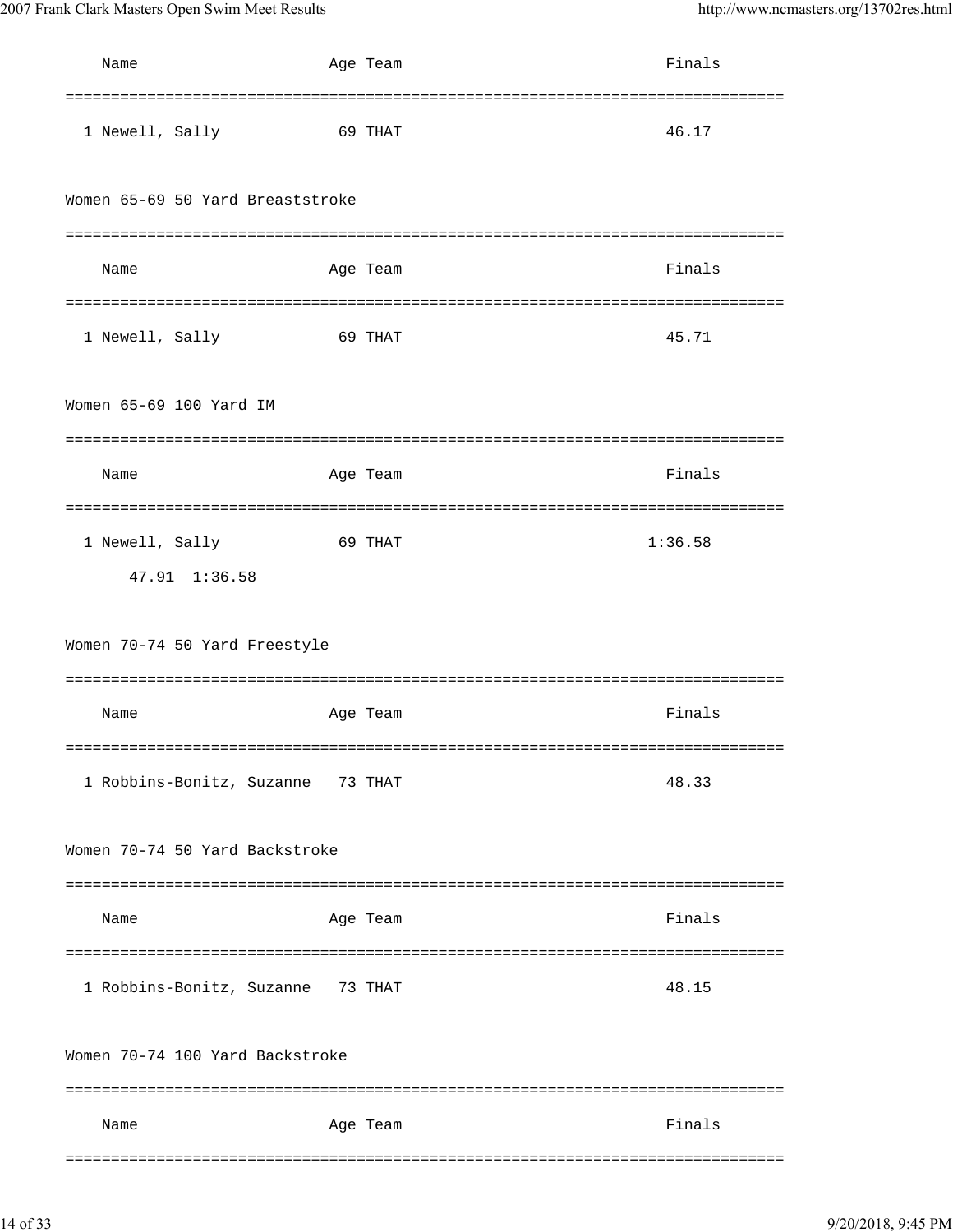| Name                              | Age Team | Finals              |
|-----------------------------------|----------|---------------------|
| 1 Newell, Sally                   | 69 THAT  | 46.17               |
| Women 65-69 50 Yard Breaststroke  |          |                     |
| Name                              | Age Team | =========<br>Finals |
| 1 Newell, Sally                   | 69 THAT  | 45.71               |
| Women 65-69 100 Yard IM           |          |                     |
| Name                              | Age Team | Finals              |
| 1 Newell, Sally<br>47.91 1:36.58  | 69 THAT  | 1:36.58             |
| Women 70-74 50 Yard Freestyle     |          |                     |
|                                   |          |                     |
| Name                              | Age Team | Finals              |
| 1 Robbins-Bonitz, Suzanne 73 THAT |          | 48.33               |
| Women 70-74 50 Yard Backstroke    |          |                     |
| Name                              | Age Team | Finals              |
| 1 Robbins-Bonitz, Suzanne 73 THAT |          | 48.15               |
| Women 70-74 100 Yard Backstroke   |          |                     |
| Name                              | Age Team | Finals              |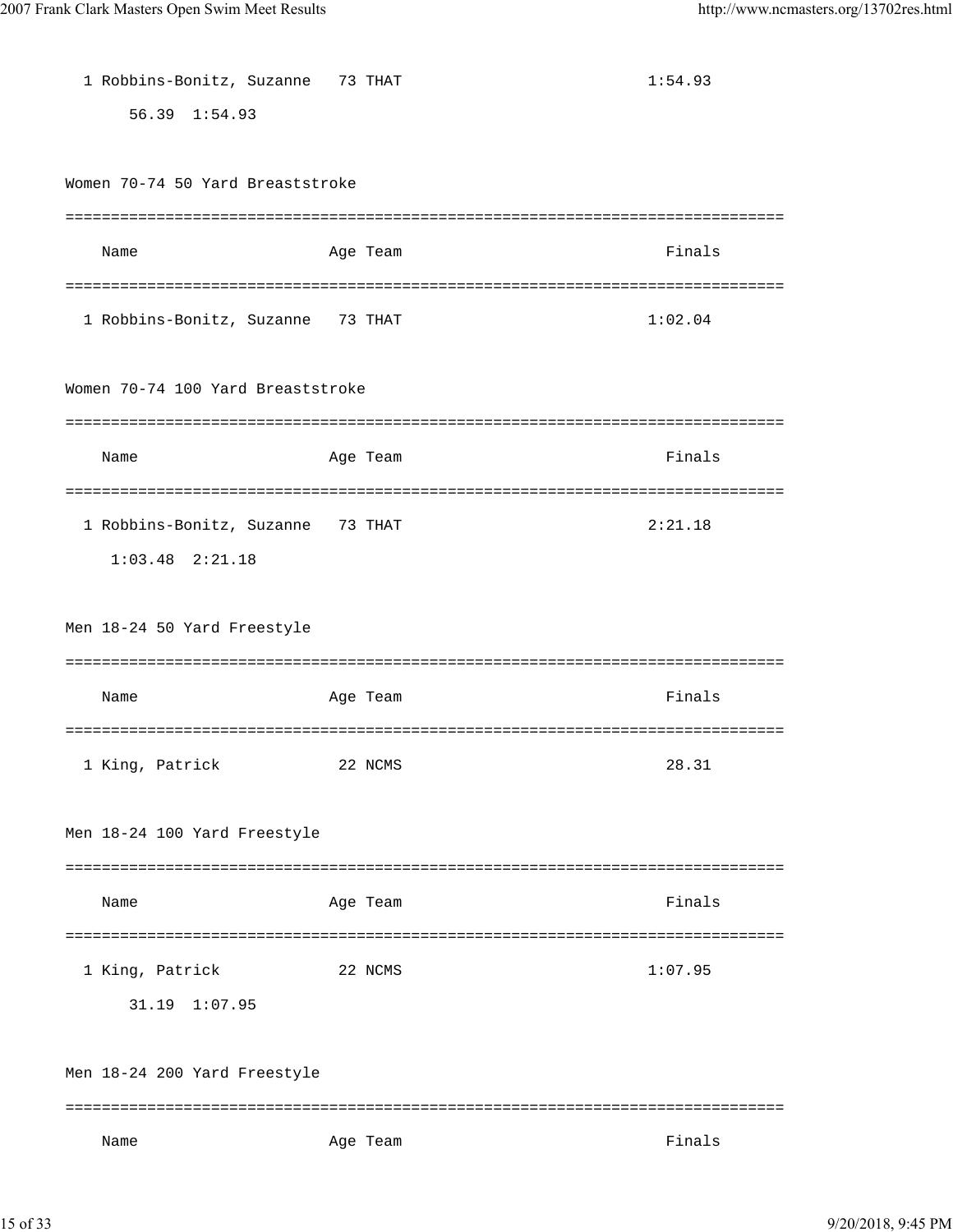| $56.39 \quad 1:54.93$                        |  |
|----------------------------------------------|--|
|                                              |  |
|                                              |  |
| Women 70-74 50 Yard Breaststroke             |  |
|                                              |  |
| Finals<br>Name<br>Age Team                   |  |
|                                              |  |
| 1 Robbins-Bonitz, Suzanne 73 THAT<br>1:02.04 |  |
|                                              |  |
| Women 70-74 100 Yard Breaststroke            |  |
|                                              |  |
| Finals<br>Name<br>Age Team                   |  |
|                                              |  |
| 1 Robbins-Bonitz, Suzanne 73 THAT<br>2:21.18 |  |
| $1:03.48$ $2:21.18$                          |  |
|                                              |  |
| Men 18-24 50 Yard Freestyle                  |  |
|                                              |  |
| Finals<br>Name<br>Age Team                   |  |
|                                              |  |
| 28.31<br>1 King, Patrick<br>22 NCMS          |  |
|                                              |  |
| Men 18-24 100 Yard Freestyle                 |  |
|                                              |  |
| Finals<br>Age Team<br>Name                   |  |
| 1 King, Patrick<br>1:07.95<br>22 NCMS        |  |
| 31.19<br>1:07.95                             |  |
|                                              |  |
| Men 18-24 200 Yard Freestyle                 |  |
|                                              |  |
|                                              |  |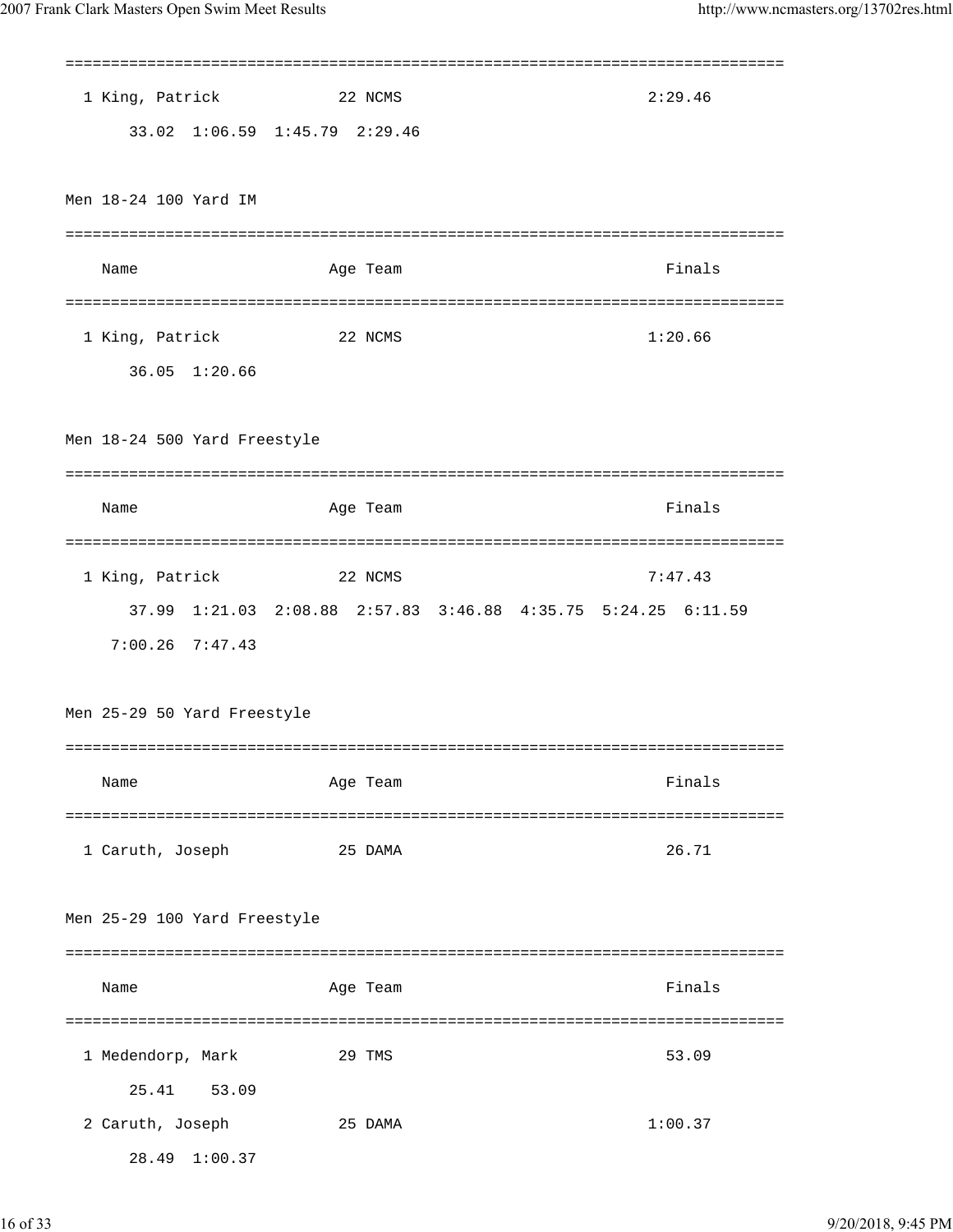| 1 King, Patrick                     | 22 NCMS                       | 2:29.46                                                       |
|-------------------------------------|-------------------------------|---------------------------------------------------------------|
|                                     | 33.02 1:06.59 1:45.79 2:29.46 |                                                               |
|                                     |                               |                                                               |
| Men 18-24 100 Yard IM               |                               |                                                               |
|                                     |                               |                                                               |
| Name                                | Age Team                      | Finals                                                        |
|                                     |                               |                                                               |
| 1 King, Patrick                     | 22 NCMS                       | 1:20.66                                                       |
| 36.05 1:20.66                       |                               |                                                               |
|                                     |                               |                                                               |
|                                     |                               |                                                               |
| Men 18-24 500 Yard Freestyle        |                               |                                                               |
|                                     |                               |                                                               |
| Name                                | Age Team                      | Finals                                                        |
|                                     |                               |                                                               |
| 1 King, Patrick                     | 22 NCMS                       | 7:47.43                                                       |
|                                     |                               | 37.99 1:21.03 2:08.88 2:57.83 3:46.88 4:35.75 5:24.25 6:11.59 |
| $7:00.26$ $7:47.43$                 |                               |                                                               |
|                                     |                               |                                                               |
| Men 25-29 50 Yard Freestyle         |                               |                                                               |
|                                     |                               |                                                               |
| Name                                | Age Team                      | Finals                                                        |
|                                     |                               |                                                               |
| 1 Caruth, Joseph                    | 25 DAMA                       | 26.71                                                         |
|                                     |                               |                                                               |
| Men 25-29 100 Yard Freestyle        |                               |                                                               |
|                                     |                               |                                                               |
| Name                                | Age Team                      | Finals                                                        |
|                                     |                               |                                                               |
|                                     |                               |                                                               |
|                                     | 29 TMS                        | 53.09                                                         |
| 1 Medendorp, Mark<br>25.41<br>53.09 |                               |                                                               |
| 2 Caruth, Joseph                    | 25 DAMA                       | 1:00.37                                                       |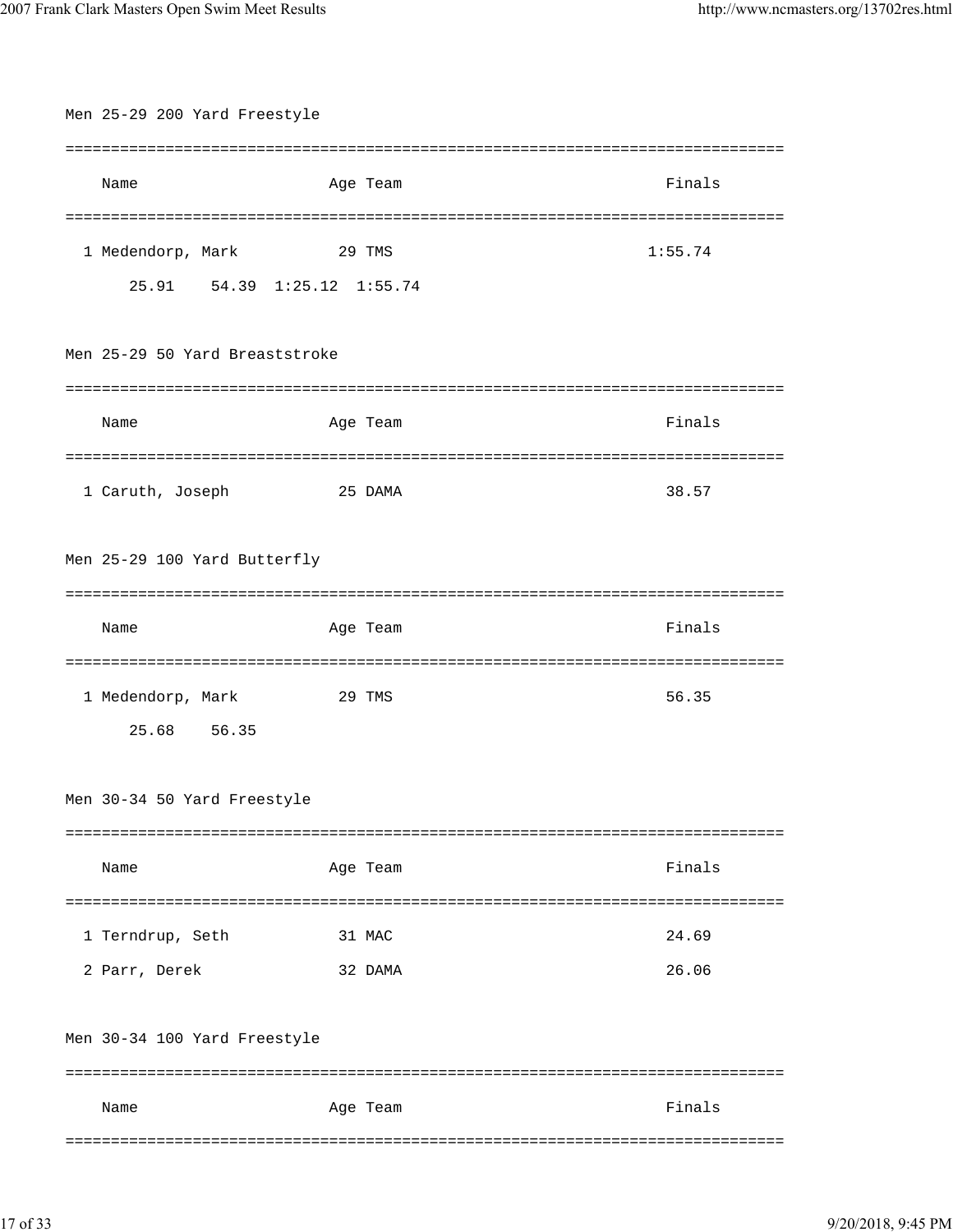| Men 25-29 200 Yard Freestyle   |          |         |  |  |
|--------------------------------|----------|---------|--|--|
|                                |          |         |  |  |
| Name                           | Age Team | Finals  |  |  |
|                                |          |         |  |  |
| 1 Medendorp, Mark              | 29 TMS   | 1:55.74 |  |  |
| 25.91 54.39 1:25.12 1:55.74    |          |         |  |  |
|                                |          |         |  |  |
| Men 25-29 50 Yard Breaststroke |          |         |  |  |
|                                |          |         |  |  |
| Name                           | Age Team | Finals  |  |  |
|                                |          |         |  |  |
| 1 Caruth, Joseph               | 25 DAMA  | 38.57   |  |  |
|                                |          |         |  |  |
| Men 25-29 100 Yard Butterfly   |          |         |  |  |
|                                |          |         |  |  |
| Name                           | Age Team | Finals  |  |  |
|                                |          | ======= |  |  |
| 1 Medendorp, Mark              | 29 TMS   | 56.35   |  |  |
| 25.68 56.35                    |          |         |  |  |
|                                |          |         |  |  |
| Men 30-34 50 Yard Freestyle    |          |         |  |  |
|                                |          |         |  |  |
| Name                           | Age Team | Finals  |  |  |
|                                |          |         |  |  |
| 1 Terndrup, Seth               | 31 MAC   | 24.69   |  |  |
| 2 Parr, Derek                  | 32 DAMA  | 26.06   |  |  |
|                                |          |         |  |  |
|                                |          |         |  |  |
| Men 30-34 100 Yard Freestyle   |          |         |  |  |
|                                |          |         |  |  |
| Name                           | Age Team | Finals  |  |  |
|                                |          |         |  |  |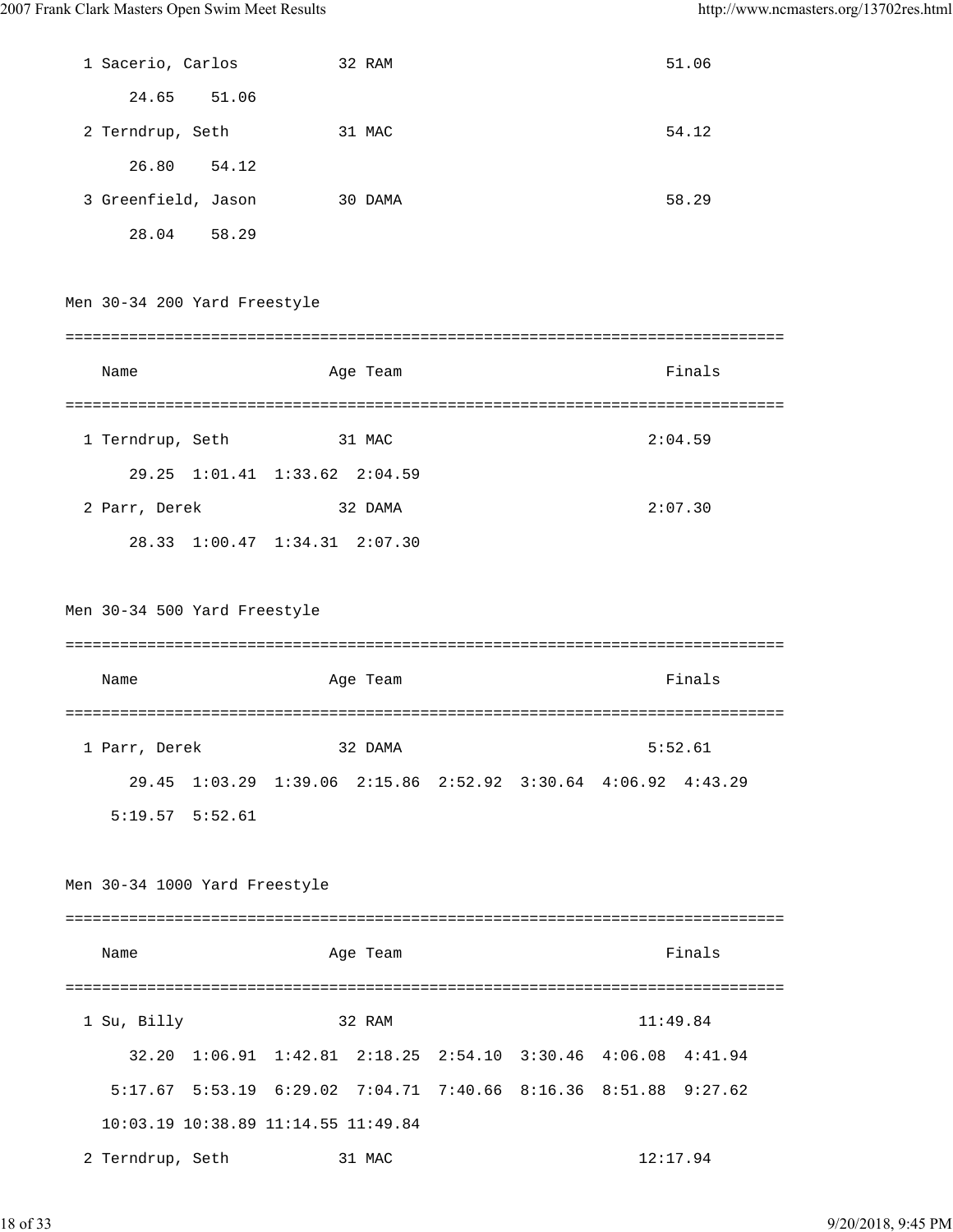| 1 Sacerio, Carlos             | 32 RAM                              | 51.06                                                           |  |
|-------------------------------|-------------------------------------|-----------------------------------------------------------------|--|
| 24.65 51.06                   |                                     |                                                                 |  |
| 2 Terndrup, Seth              | 31 MAC                              | 54.12                                                           |  |
| 26.80 54.12                   |                                     |                                                                 |  |
| 3 Greenfield, Jason           | 30 DAMA                             | 58.29                                                           |  |
| 28.04 58.29                   |                                     |                                                                 |  |
|                               |                                     |                                                                 |  |
| Men 30-34 200 Yard Freestyle  |                                     |                                                                 |  |
|                               |                                     |                                                                 |  |
| Name                          | Age Team                            | Finals                                                          |  |
|                               |                                     |                                                                 |  |
| 1 Terndrup, Seth              | 31 MAC                              | 2:04.59                                                         |  |
|                               | 29.25 1:01.41 1:33.62 2:04.59       |                                                                 |  |
| 2 Parr, Derek                 | 32 DAMA                             | 2:07.30                                                         |  |
|                               | 28.33 1:00.47 1:34.31 2:07.30       |                                                                 |  |
|                               |                                     |                                                                 |  |
| Men 30-34 500 Yard Freestyle  |                                     |                                                                 |  |
|                               |                                     |                                                                 |  |
| Name                          | Age Team                            | Finals                                                          |  |
|                               |                                     |                                                                 |  |
|                               |                                     |                                                                 |  |
| 1 Parr, Derek                 | 32 DAMA                             | 5:52.61                                                         |  |
| 29.45                         |                                     | 1:03.29 1:39.06 2:15.86 2:52.92 3:30.64 4:06.92 4:43.29         |  |
| $5:19.57$ $5:52.61$           |                                     |                                                                 |  |
|                               |                                     |                                                                 |  |
| Men 30-34 1000 Yard Freestyle |                                     |                                                                 |  |
| Name                          | Age Team                            | Finals                                                          |  |
|                               |                                     |                                                                 |  |
| 1 Su, Billy                   | 32 RAM                              | 11:49.84                                                        |  |
|                               |                                     | 32.20 1:06.91 1:42.81 2:18.25 2:54.10 3:30.46 4:06.08 4:41.94   |  |
|                               |                                     | 5:17.67 5:53.19 6:29.02 7:04.71 7:40.66 8:16.36 8:51.88 9:27.62 |  |
|                               | 10:03.19 10:38.89 11:14.55 11:49.84 |                                                                 |  |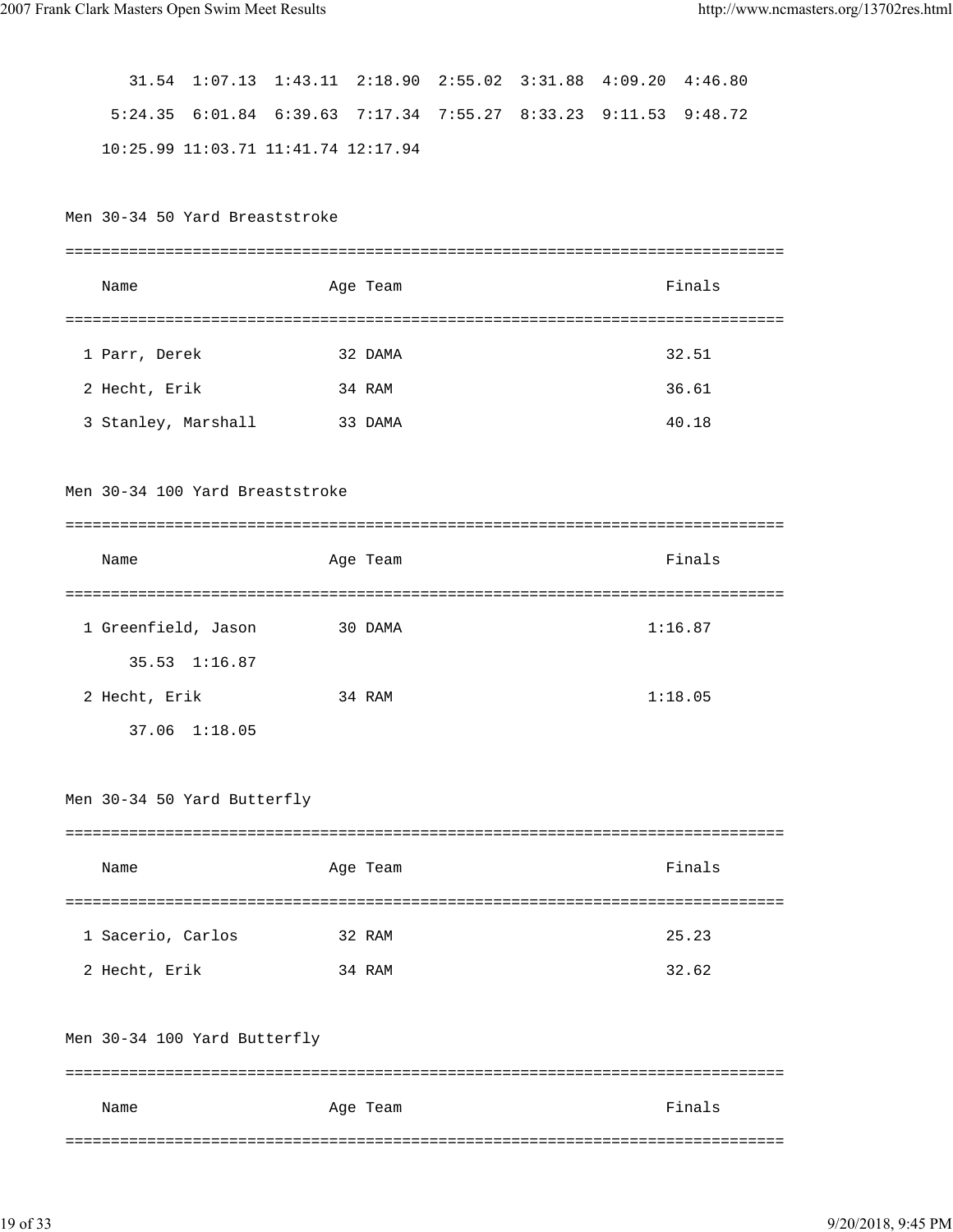31.54 1:07.13 1:43.11 2:18.90 2:55.02 3:31.88 4:09.20 4:46.80 5:24.35 6:01.84 6:39.63 7:17.34 7:55.27 8:33.23 9:11.53 9:48.72 10:25.99 11:03.71 11:41.74 12:17.94 Men 30-34 50 Yard Breaststroke =============================================================================== Name Age Team Age Team Finals =============================================================================== 1 Parr, Derek 32 DAMA 32.51 2 Hecht, Erik 34 RAM 36.61 3 Stanley, Marshall 33 DAMA 40.18 Men 30-34 100 Yard Breaststroke =============================================================================== Name **Age Team** Age Team **Finals** =============================================================================== 1 Greenfield, Jason 30 DAMA 1:16.87 35.53 1:16.87 2 Hecht, Erik 34 RAM 1:18.05 37.06 1:18.05 Men 30-34 50 Yard Butterfly =============================================================================== Name **Age Team** Age Team **Finals** =============================================================================== 1 Sacerio, Carlos 32 RAM 25.23 2 Hecht, Erik 34 RAM 32.62 Men 30-34 100 Yard Butterfly =============================================================================== Name Age Team Age Team Finals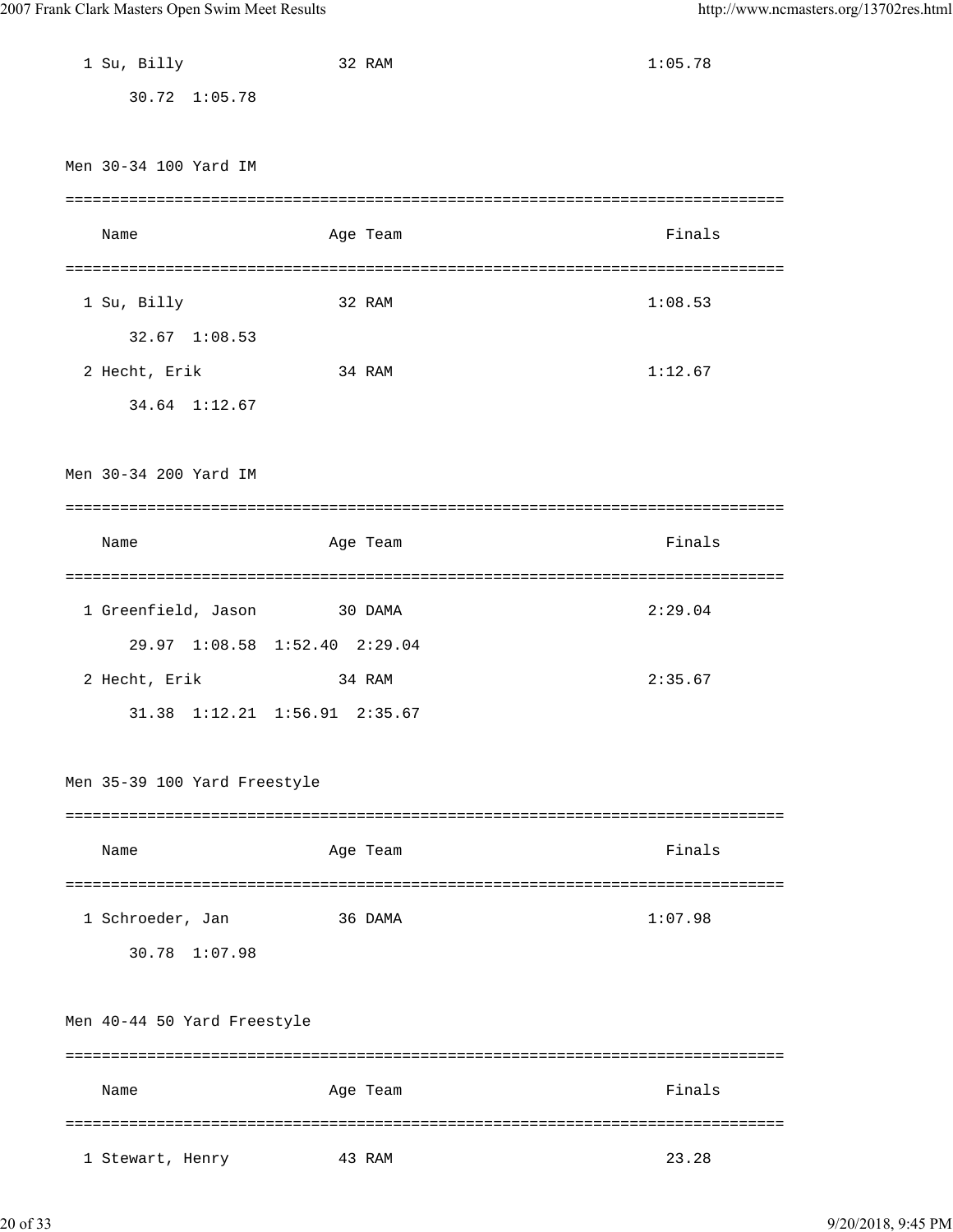| 1 Su, Billy                  | 32 RAM                        | 1:05.78 |
|------------------------------|-------------------------------|---------|
| 30.72 1:05.78                |                               |         |
|                              |                               |         |
| Men 30-34 100 Yard IM        |                               |         |
|                              |                               |         |
|                              |                               |         |
| Name                         | Age Team                      | Finals  |
|                              |                               |         |
| 1 Su, Billy                  | 32 RAM                        | 1:08.53 |
| 32.67 1:08.53                |                               |         |
| 2 Hecht, Erik                | 34 RAM                        | 1:12.67 |
| 34.64 1:12.67                |                               |         |
|                              |                               |         |
| Men 30-34 200 Yard IM        |                               |         |
|                              |                               |         |
| Name                         | Age Team                      | Finals  |
|                              |                               |         |
|                              |                               | ======  |
| 1 Greenfield, Jason          | 30 DAMA                       | 2:29.04 |
|                              | 29.97 1:08.58 1:52.40 2:29.04 |         |
| 2 Hecht, Erik                | 34 RAM                        | 2:35.67 |
|                              | 31.38 1:12.21 1:56.91 2:35.67 |         |
|                              |                               |         |
| Men 35-39 100 Yard Freestyle |                               |         |
|                              |                               |         |
| Name                         | Age Team                      | Finals  |
|                              |                               |         |
|                              |                               | 1:07.98 |
| 1 Schroeder, Jan             | 36 DAMA                       |         |
| 30.78 1:07.98                |                               |         |
|                              |                               |         |
| Men 40-44 50 Yard Freestyle  |                               |         |
|                              |                               |         |
| Name                         | Age Team                      | Finals  |
|                              |                               | ------  |
| 1 Stewart, Henry             | 43 RAM                        | 23.28   |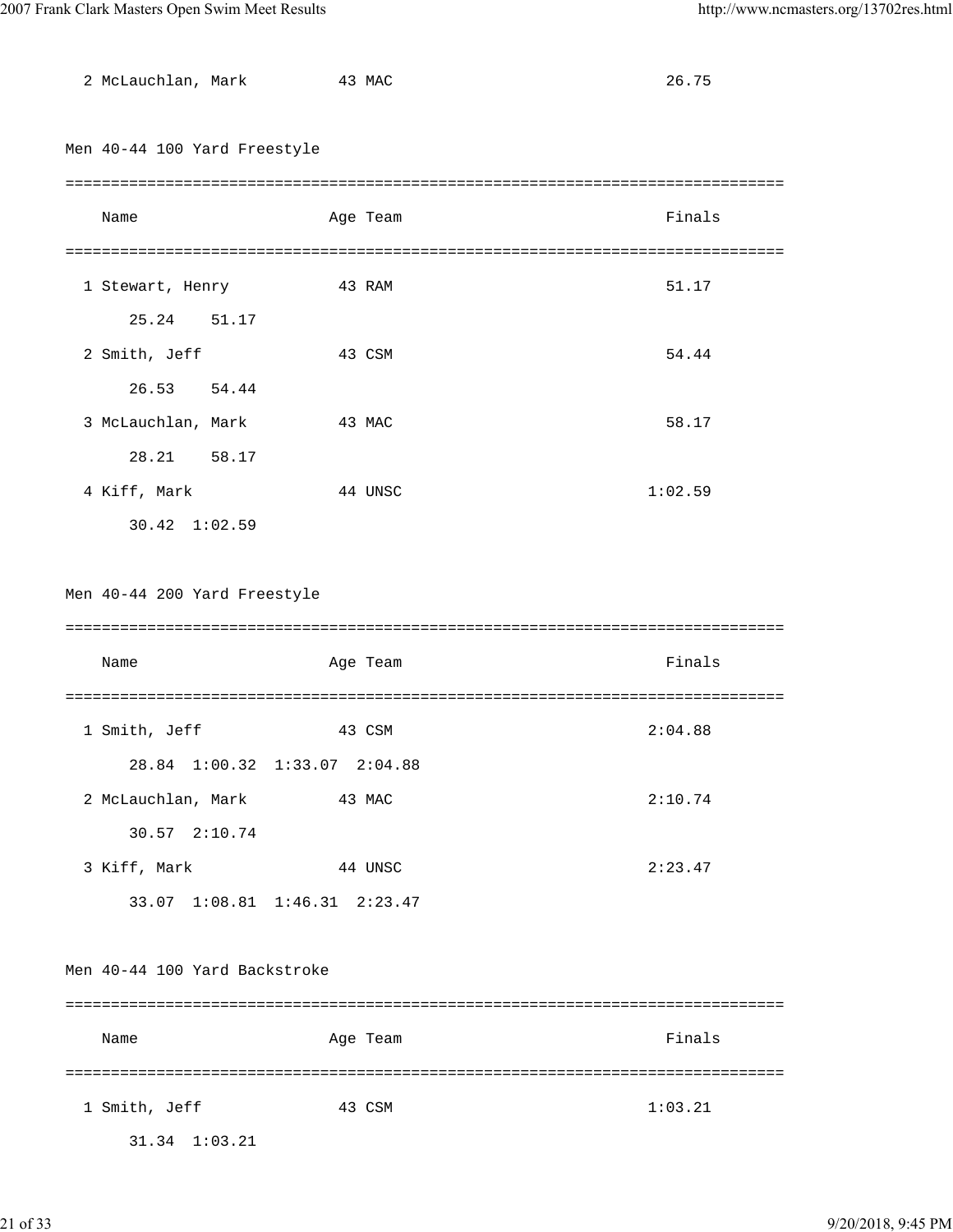| 2 McLauchlan, Mark            | 43 MAC                        | 26.75   |
|-------------------------------|-------------------------------|---------|
|                               |                               |         |
| Men 40-44 100 Yard Freestyle  |                               |         |
|                               |                               |         |
| Name                          | Age Team                      | Finals  |
|                               |                               |         |
| 1 Stewart, Henry              | 43 RAM                        | 51.17   |
| 25.24<br>51.17                |                               |         |
| 2 Smith, Jeff                 | 43 CSM                        | 54.44   |
| 26.53 54.44                   |                               |         |
| 3 McLauchlan, Mark            | 43 MAC                        | 58.17   |
| 28.21 58.17                   |                               |         |
| 4 Kiff, Mark                  | 44 UNSC                       | 1:02.59 |
| 30.42 1:02.59                 |                               |         |
|                               |                               |         |
| Men 40-44 200 Yard Freestyle  |                               |         |
|                               |                               |         |
|                               |                               |         |
| Name                          | Age Team                      | Finals  |
|                               |                               |         |
| 1 Smith, Jeff                 | 43 CSM                        | 2:04.88 |
|                               | 28.84 1:00.32 1:33.07 2:04.88 |         |
| 2 McLauchlan, Mark            | 43 MAC                        | 2:10.74 |
| 30.57 2:10.74                 |                               |         |
| 3 Kiff, Mark                  | 44 UNSC                       | 2:23.47 |
|                               | 33.07 1:08.81 1:46.31 2:23.47 |         |
|                               |                               |         |
| Men 40-44 100 Yard Backstroke |                               |         |
|                               |                               |         |
| Name                          | Age Team                      | Finals  |
|                               |                               |         |
| 1 Smith, Jeff                 | 43 CSM                        | 1:03.21 |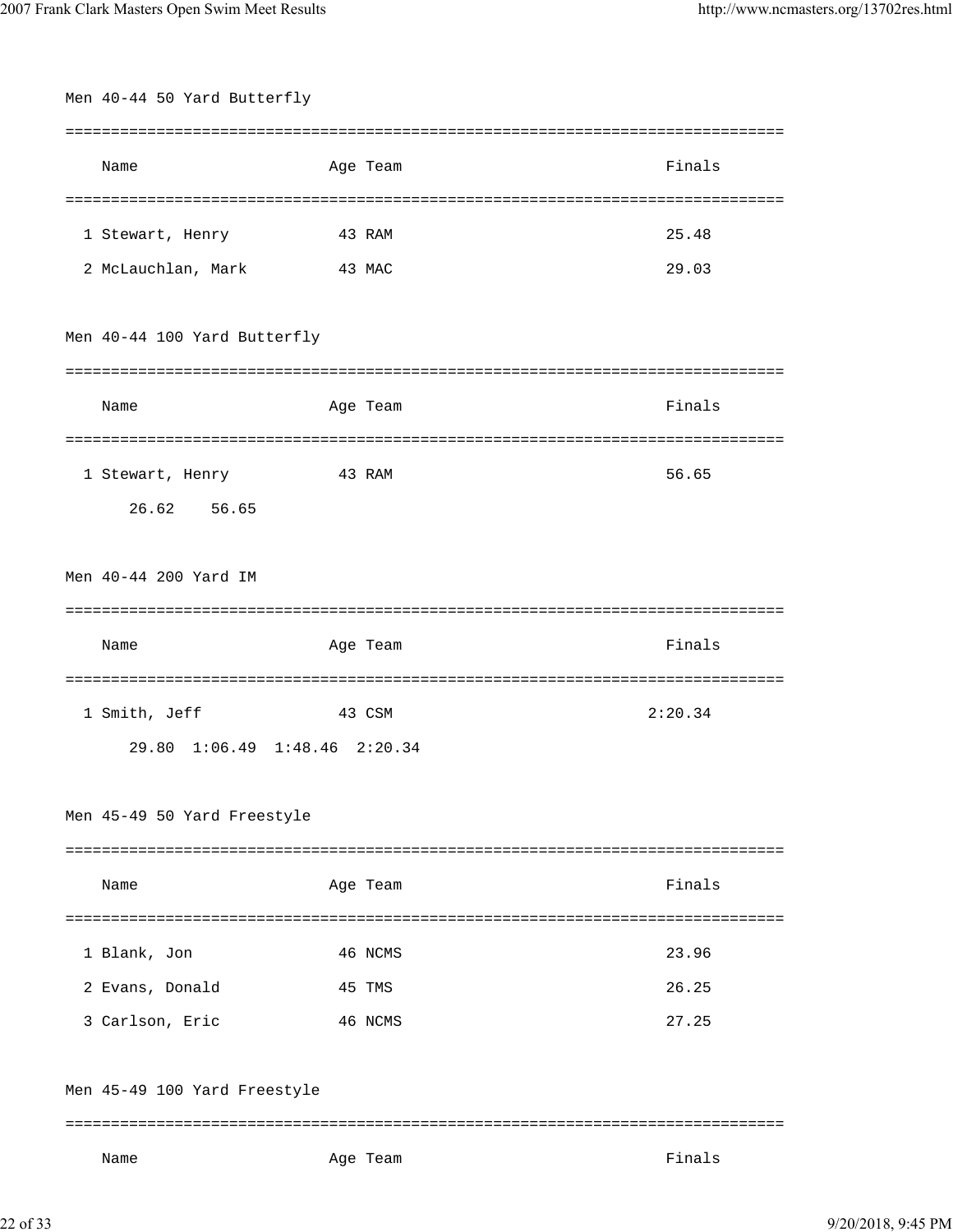| Men 40-44 50 Yard Butterfly   |          |         |  |  |
|-------------------------------|----------|---------|--|--|
|                               |          |         |  |  |
| Name                          | Age Team | Finals  |  |  |
|                               |          |         |  |  |
| 1 Stewart, Henry              | 43 RAM   | 25.48   |  |  |
| 2 McLauchlan, Mark            | 43 MAC   | 29.03   |  |  |
|                               |          |         |  |  |
| Men 40-44 100 Yard Butterfly  |          |         |  |  |
|                               |          |         |  |  |
| Name                          | Age Team | Finals  |  |  |
|                               |          |         |  |  |
| 1 Stewart, Henry              | 43 RAM   | 56.65   |  |  |
| 26.62 56.65                   |          |         |  |  |
|                               |          |         |  |  |
| Men 40-44 200 Yard IM         |          |         |  |  |
|                               |          |         |  |  |
|                               |          |         |  |  |
| Name                          | Age Team | Finals  |  |  |
|                               |          |         |  |  |
| 1 Smith, Jeff                 | 43 CSM   | 2:20.34 |  |  |
| 29.80 1:06.49 1:48.46 2:20.34 |          |         |  |  |
|                               |          |         |  |  |
| Men 45-49 50 Yard Freestyle   |          |         |  |  |
|                               |          |         |  |  |
| Name                          | Age Team | Finals  |  |  |
|                               |          |         |  |  |
| 1 Blank, Jon                  | 46 NCMS  | 23.96   |  |  |
| 2 Evans, Donald               | 45 TMS   | 26.25   |  |  |
| 3 Carlson, Eric               | 46 NCMS  | 27.25   |  |  |
|                               |          |         |  |  |
| Men 45-49 100 Yard Freestyle  |          |         |  |  |
|                               |          |         |  |  |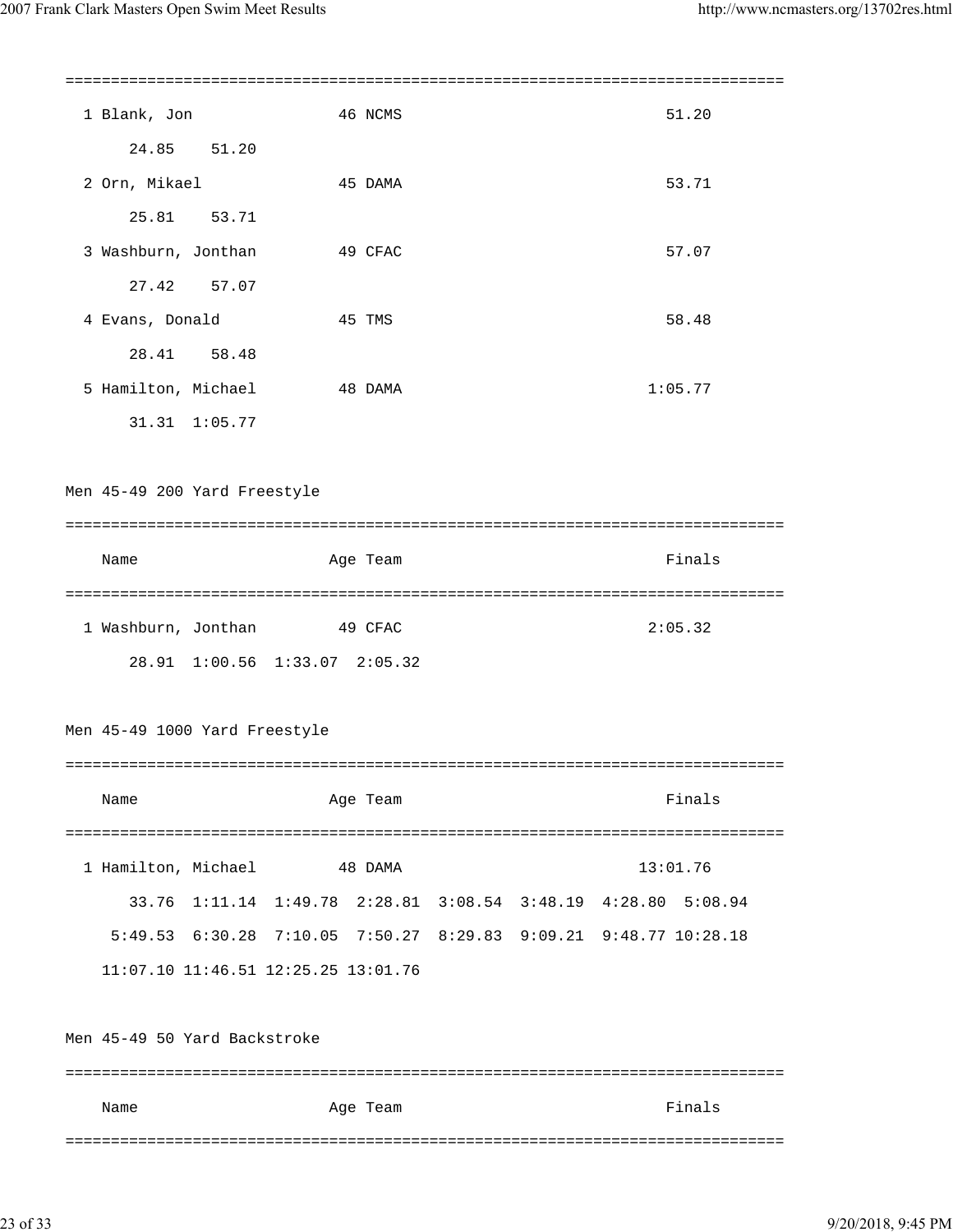1 Blank, Jon 46 NCMS 51.20 24.85 51.20 2 Orn, Mikael 45 DAMA 53.71 25.81 53.71 3 Washburn, Jonthan 49 CFAC 67.07 27.42 57.07 4 Evans, Donald 35 48 TMS 45 TMS 48 58.48 28.41 58.48 5 Hamilton, Michael 48 DAMA 1:05.77 31.31 1:05.77 Men 45-49 200 Yard Freestyle =============================================================================== Name **Age Team** Age Team **Finals** =============================================================================== 1 Washburn, Jonthan 49 CFAC 2:05.32 28.91 1:00.56 1:33.07 2:05.32 Men 45-49 1000 Yard Freestyle =============================================================================== Name **Age Team** Age Team Finals =============================================================================== 1 Hamilton, Michael 48 DAMA 13:01.76 33.76 1:11.14 1:49.78 2:28.81 3:08.54 3:48.19 4:28.80 5:08.94 5:49.53 6:30.28 7:10.05 7:50.27 8:29.83 9:09.21 9:48.77 10:28.18 11:07.10 11:46.51 12:25.25 13:01.76 Men 45-49 50 Yard Backstroke =============================================================================== Name Age Team Age Team Finals

===============================================================================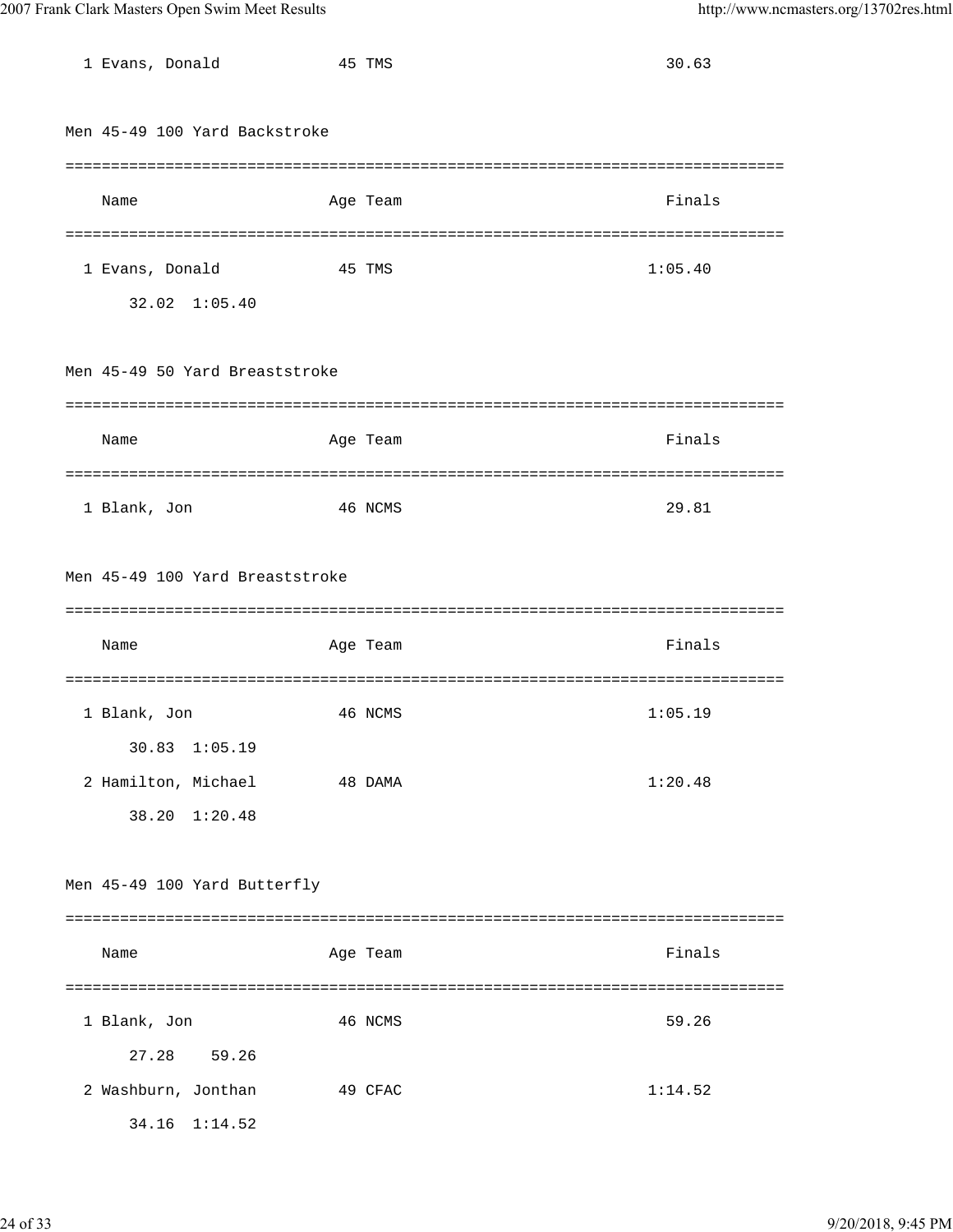| 1 Evans, Donald                 | 45 TMS   | 30.63   |
|---------------------------------|----------|---------|
| Men 45-49 100 Yard Backstroke   |          |         |
|                                 |          |         |
| Name                            | Age Team | Finals  |
|                                 |          |         |
| 1 Evans, Donald                 | 45 TMS   | 1:05.40 |
| 32.02 1:05.40                   |          |         |
|                                 |          |         |
| Men 45-49 50 Yard Breaststroke  |          |         |
|                                 |          |         |
| Name                            | Age Team | Finals  |
|                                 |          |         |
| 1 Blank, Jon                    | 46 NCMS  | 29.81   |
|                                 |          |         |
| Men 45-49 100 Yard Breaststroke |          |         |
|                                 |          |         |
|                                 |          |         |
| Name                            | Age Team | Finals  |
|                                 |          |         |
| 1 Blank, Jon                    | 46 NCMS  | 1:05.19 |
| $30.83$ $1:05.19$               |          |         |
| 2 Hamilton, Michael             | 48 DAMA  | 1:20.48 |
| 38.20 1:20.48                   |          |         |
|                                 |          |         |
| Men 45-49 100 Yard Butterfly    |          |         |
|                                 |          |         |
| Name                            | Age Team | Finals  |
|                                 |          |         |
| 1 Blank, Jon                    | 46 NCMS  | 59.26   |
| 27.28<br>59.26                  |          |         |
| 2 Washburn, Jonthan             | 49 CFAC  | 1:14.52 |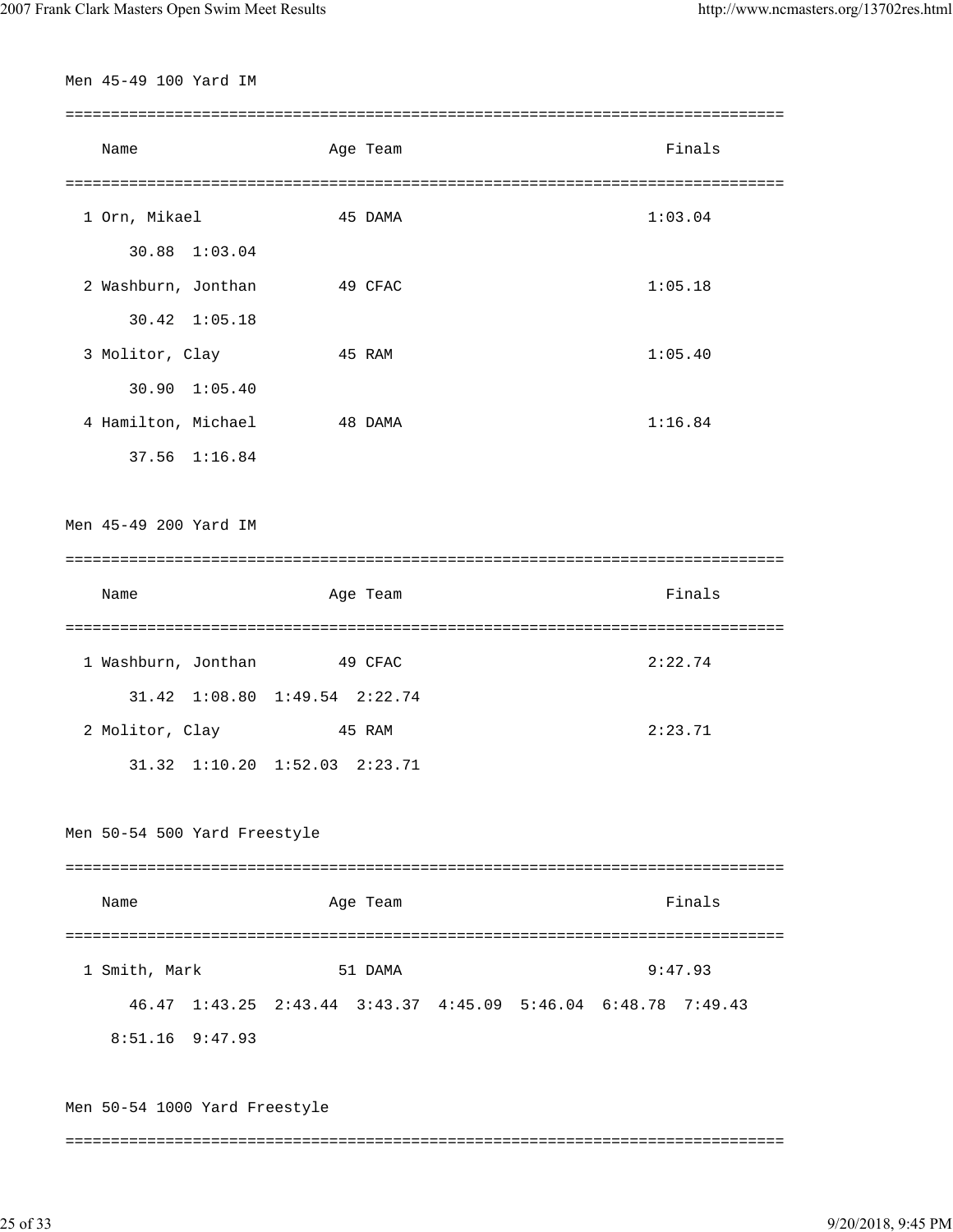Men 45-49 100 Yard IM =============================================================================== Name **Age Team** Age Team Finals =============================================================================== 1 Orn, Mikael 45 DAMA 1:03.04 30.88 1:03.04 2 Washburn, Jonthan 49 CFAC 1:05.18 30.42 1:05.18 3 Molitor, Clay 45 RAM 1:05.40 30.90 1:05.40 4 Hamilton, Michael 48 DAMA 1:16.84 37.56 1:16.84 Men 45-49 200 Yard IM =============================================================================== Name Age Team Age Team Finals =============================================================================== 1 Washburn, Jonthan 49 CFAC 2:22.74 31.42 1:08.80 1:49.54 2:22.74 2 Molitor, Clay 45 RAM 2:23.71 31.32 1:10.20 1:52.03 2:23.71 Men 50-54 500 Yard Freestyle =============================================================================== Name **Age Team** Age Team Finals =============================================================================== 1 Smith, Mark 51 DAMA 9:47.93 46.47 1:43.25 2:43.44 3:43.37 4:45.09 5:46.04 6:48.78 7:49.43 8:51.16 9:47.93 Men 50-54 1000 Yard Freestyle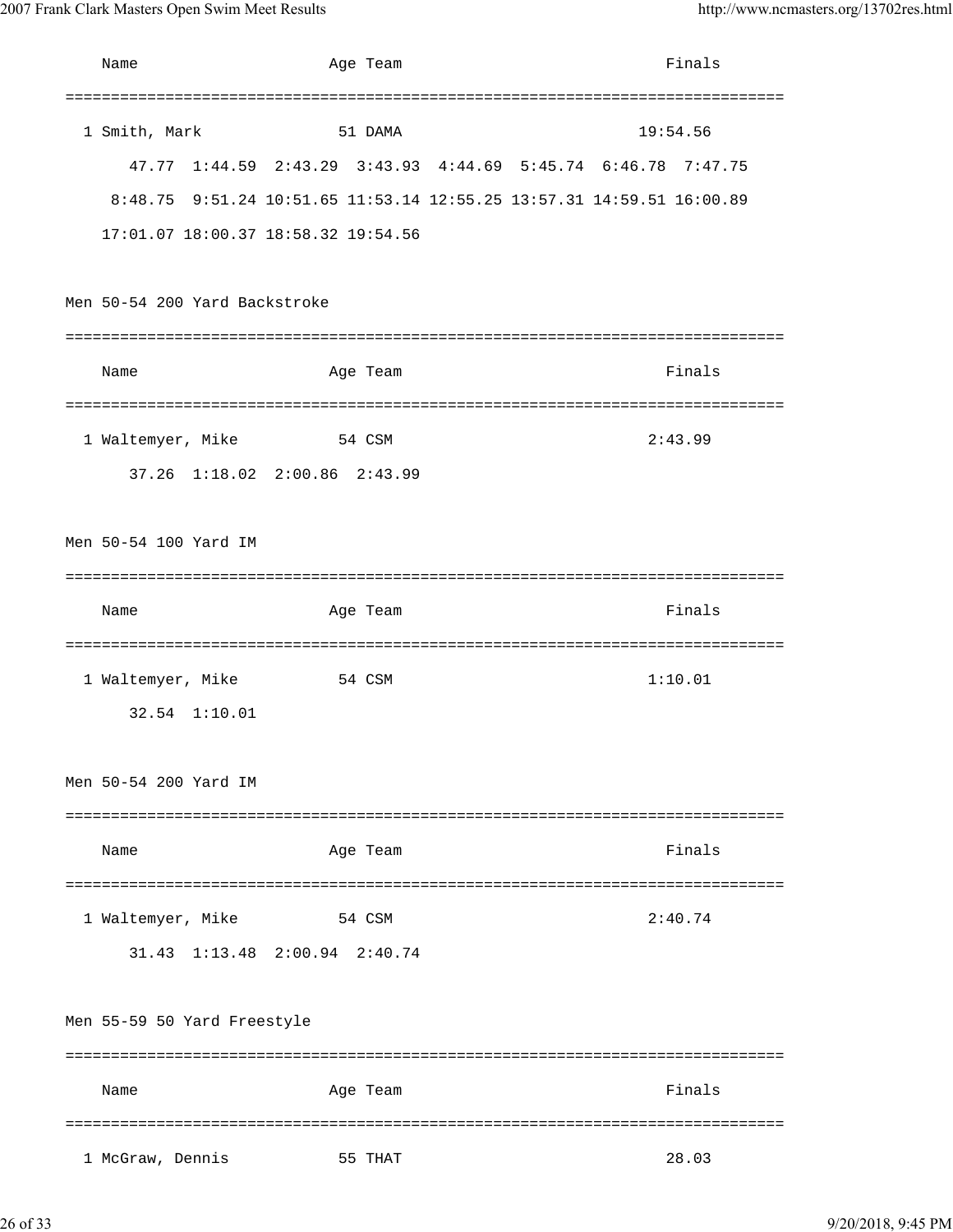| Name                          | Age Team                            | Finals                                                                |
|-------------------------------|-------------------------------------|-----------------------------------------------------------------------|
|                               |                                     |                                                                       |
| 1 Smith, Mark                 | 51 DAMA                             | 19:54.56                                                              |
|                               |                                     | 47.77 1:44.59 2:43.29 3:43.93 4:44.69 5:45.74 6:46.78 7:47.75         |
|                               |                                     | 8:48.75 9:51.24 10:51.65 11:53.14 12:55.25 13:57.31 14:59.51 16:00.89 |
|                               | 17:01.07 18:00.37 18:58.32 19:54.56 |                                                                       |
|                               |                                     |                                                                       |
| Men 50-54 200 Yard Backstroke |                                     |                                                                       |
|                               |                                     |                                                                       |
| Name                          | Age Team                            | Finals                                                                |
|                               |                                     |                                                                       |
| 1 Waltemyer, Mike             | 54 CSM                              | 2:43.99                                                               |
|                               | 37.26 1:18.02 2:00.86 2:43.99       |                                                                       |
|                               |                                     |                                                                       |
| Men 50-54 100 Yard IM         |                                     |                                                                       |
|                               |                                     |                                                                       |
| Name                          | Age Team                            | Finals                                                                |
|                               | ==============================      | =============================                                         |
| 1 Waltemyer, Mike             | 54 CSM                              | 1:10.01                                                               |
| 32.54 1:10.01                 |                                     |                                                                       |
|                               |                                     |                                                                       |
| Men 50-54 200 Yard IM         |                                     |                                                                       |
|                               |                                     |                                                                       |
| Name                          | Age Team                            | Finals                                                                |
|                               |                                     |                                                                       |
| 1 Waltemyer, Mike             | 54 CSM                              | 2:40.74                                                               |
|                               | 31.43 1:13.48 2:00.94 2:40.74       |                                                                       |
|                               |                                     |                                                                       |
| Men 55-59 50 Yard Freestyle   |                                     |                                                                       |
|                               |                                     |                                                                       |
| Name                          | Age Team                            | Finals                                                                |
|                               |                                     | ========                                                              |
| 1 McGraw, Dennis              | 55 THAT                             | 28.03                                                                 |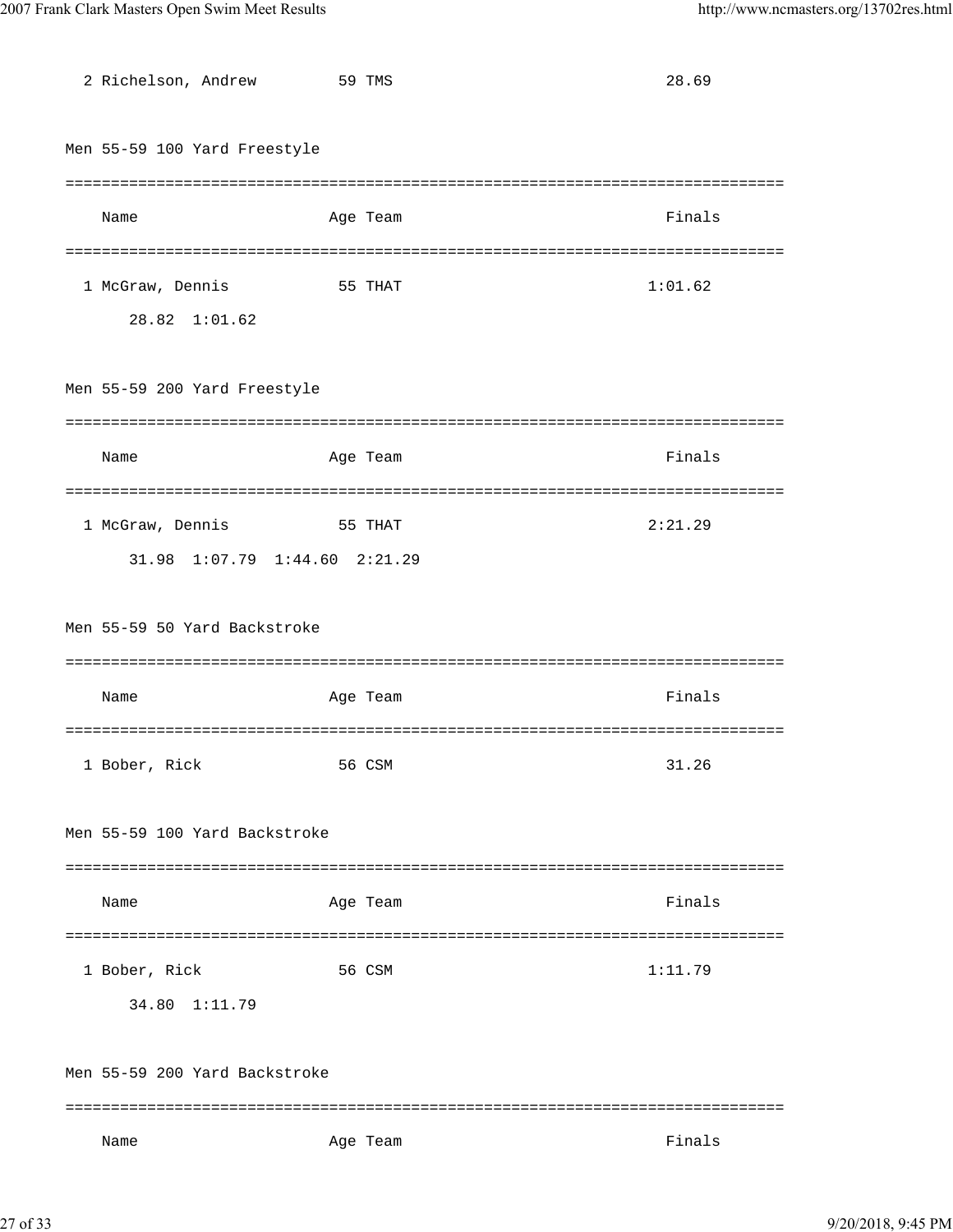| 2 Richelson, Andrew                    | 59 TMS   | 28.69   |
|----------------------------------------|----------|---------|
|                                        |          |         |
| Men 55-59 100 Yard Freestyle           |          |         |
|                                        |          |         |
| Name                                   | Age Team | Finals  |
|                                        |          |         |
| 1 McGraw, Dennis                       | 55 THAT  | 1:01.62 |
| 28.82 1:01.62                          |          |         |
|                                        |          |         |
| Men 55-59 200 Yard Freestyle           |          |         |
|                                        |          |         |
| Name                                   | Age Team | Finals  |
|                                        |          |         |
| 1 McGraw, Dennis                       | 55 THAT  | 2:21.29 |
| $1:07.79$ $1:44.60$ $2:21.29$<br>31.98 |          |         |
|                                        |          |         |
| Men 55-59 50 Yard Backstroke           |          |         |
|                                        |          |         |
| Name                                   | Age Team | Finals  |
|                                        |          |         |
| 1 Bober, Rick                          | 56 CSM   | 31.26   |
|                                        |          |         |
| Men 55-59 100 Yard Backstroke          |          |         |
|                                        |          |         |
| Name                                   | Age Team | Finals  |
|                                        |          |         |
| 1 Bober, Rick                          | 56 CSM   | 1:11.79 |
|                                        |          |         |
| 34.80 1:11.79                          |          |         |
|                                        |          |         |
| Men 55-59 200 Yard Backstroke          |          |         |
|                                        |          |         |
| Name                                   | Age Team | Finals  |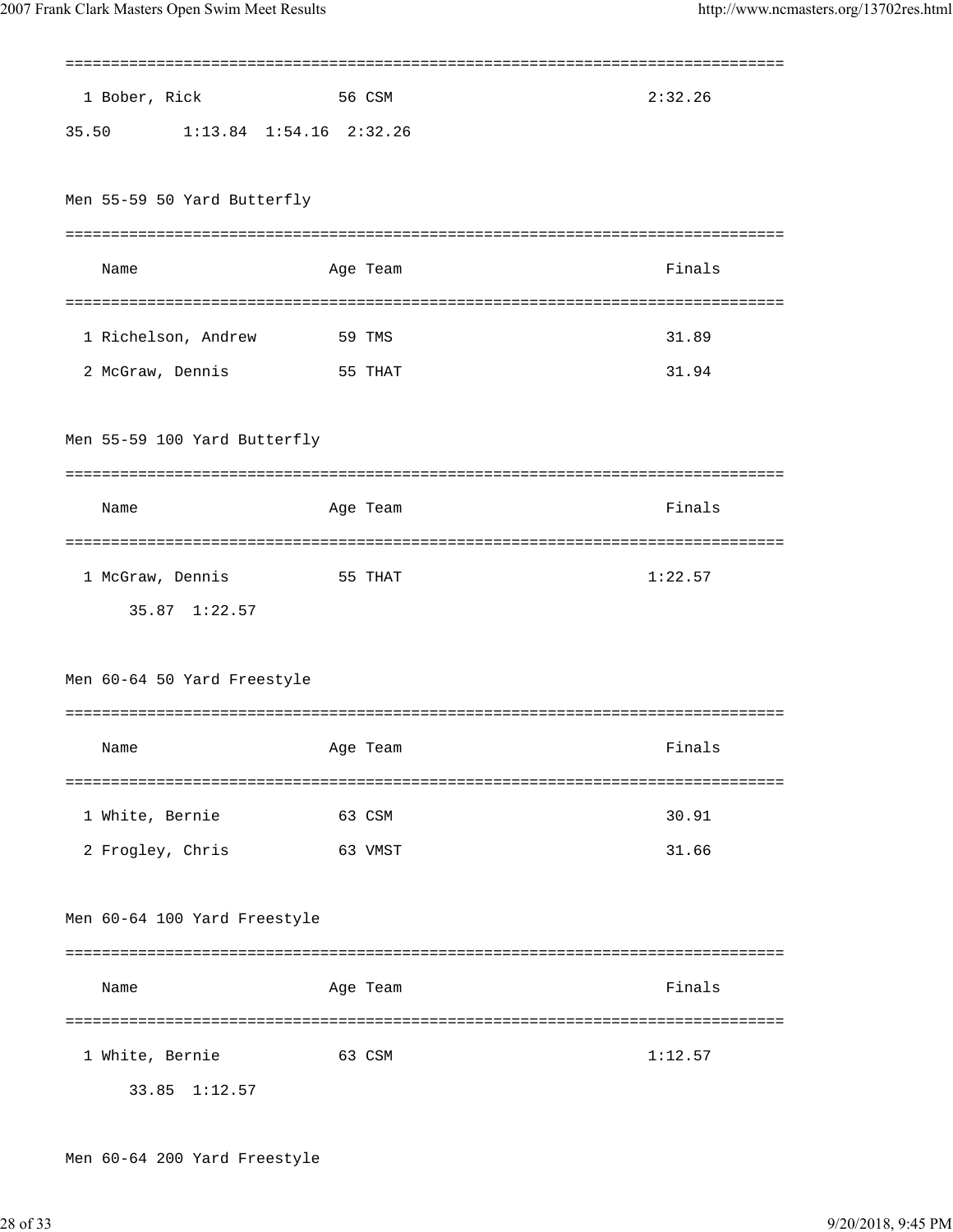| 2:32.26<br>1 Bober, Rick<br>56 CSM     |  |
|----------------------------------------|--|
| 35.50 1:13.84 1:54.16 2:32.26          |  |
|                                        |  |
| Men 55-59 50 Yard Butterfly            |  |
|                                        |  |
| Finals<br>Name<br>Age Team             |  |
|                                        |  |
| 1 Richelson, Andrew<br>31.89<br>59 TMS |  |
| 31.94<br>2 McGraw, Dennis<br>55 THAT   |  |
|                                        |  |
| Men 55-59 100 Yard Butterfly           |  |
|                                        |  |
| Finals<br>Name<br>Age Team             |  |
|                                        |  |
|                                        |  |
| 1 McGraw, Dennis<br>1:22.57<br>55 THAT |  |
| 35.87 1:22.57                          |  |
|                                        |  |
| Men 60-64 50 Yard Freestyle            |  |
|                                        |  |
| Finals<br>Name<br>Age Team             |  |
|                                        |  |
| 30.91<br>1 White, Bernie<br>63 CSM     |  |
| 31.66<br>2 Frogley, Chris<br>63 VMST   |  |
|                                        |  |
| Men 60-64 100 Yard Freestyle           |  |
|                                        |  |
| Finals<br>Age Team<br>Name             |  |
|                                        |  |
| 1 White, Bernie<br>1:12.57<br>63 CSM   |  |
| 1:12.57<br>33.85                       |  |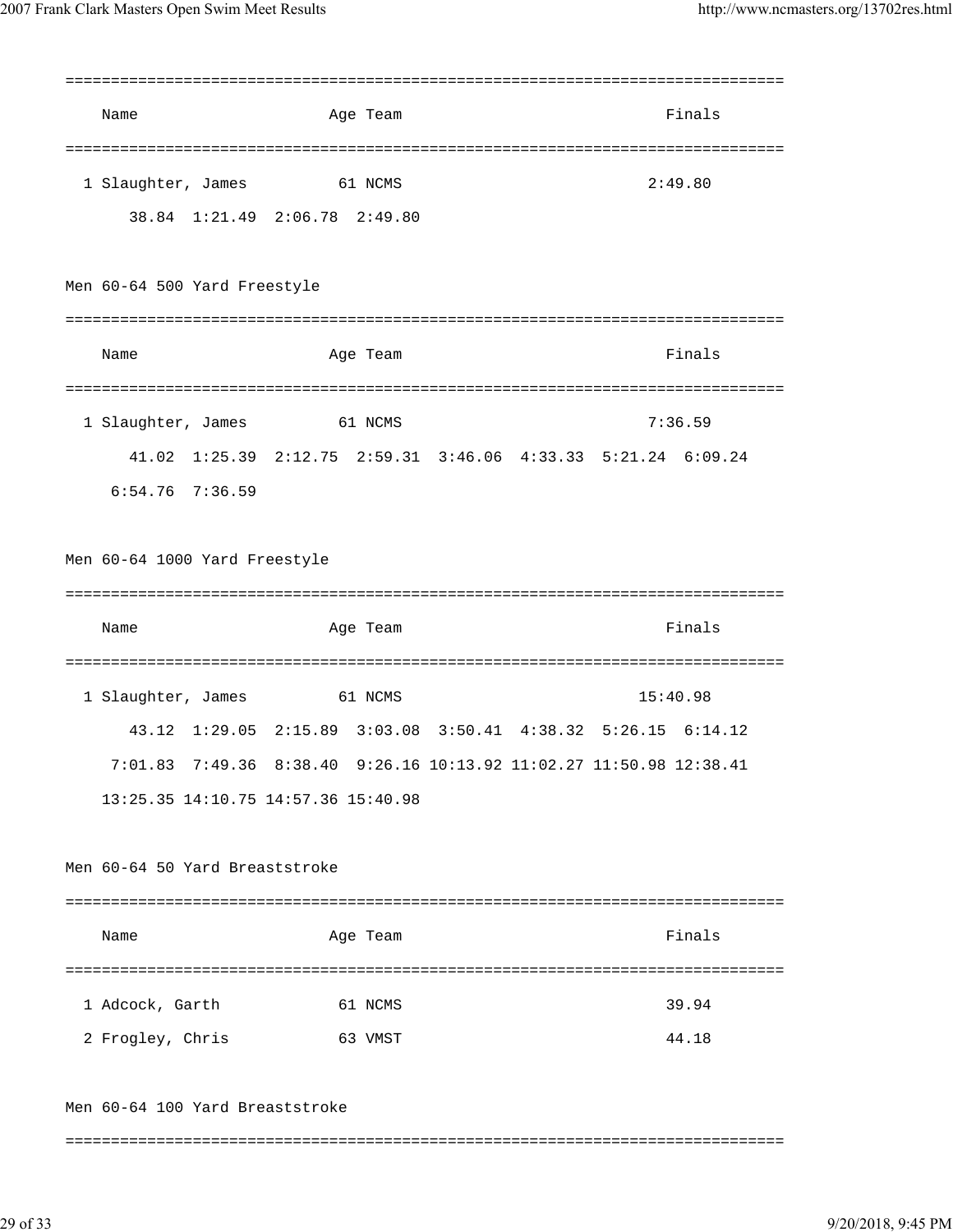| Name |                                 | Age Team                                                      |  | Finals   |  |
|------|---------------------------------|---------------------------------------------------------------|--|----------|--|
|      | 1 Slaughter, James              | 61 NCMS<br>38.84 1:21.49 2:06.78 2:49.80                      |  | 2:49.80  |  |
|      | Men 60-64 500 Yard Freestyle    |                                                               |  |          |  |
|      |                                 |                                                               |  |          |  |
| Name |                                 | Age Team                                                      |  | Finals   |  |
|      |                                 |                                                               |  |          |  |
|      | 1 Slaughter, James              | 61 NCMS                                                       |  | 7:36.59  |  |
|      |                                 | 41.02 1:25.39 2:12.75 2:59.31 3:46.06 4:33.33 5:21.24 6:09.24 |  |          |  |
|      | $6:54.76$ 7:36.59               |                                                               |  |          |  |
|      | Men 60-64 1000 Yard Freestyle   |                                                               |  |          |  |
|      |                                 |                                                               |  |          |  |
| Name |                                 | Age Team                                                      |  | Finals   |  |
|      |                                 |                                                               |  |          |  |
|      | 1 Slaughter, James              | 61 NCMS                                                       |  | 15:40.98 |  |
|      |                                 | 43.12 1:29.05 2:15.89 3:03.08 3:50.41 4:38.32 5:26.15 6:14.12 |  |          |  |
|      | 7:01.83                         | 7:49.36 8:38.40 9:26.16 10:13.92 11:02.27 11:50.98 12:38.41   |  |          |  |
|      |                                 | 13:25.35 14:10.75 14:57.36 15:40.98                           |  |          |  |
|      |                                 |                                                               |  |          |  |
|      | Men 60-64 50 Yard Breaststroke  |                                                               |  |          |  |
|      |                                 |                                                               |  |          |  |
| Name |                                 | Age Team                                                      |  | Finals   |  |
|      |                                 |                                                               |  |          |  |
|      | 1 Adcock, Garth                 | 61 NCMS                                                       |  | 39.94    |  |
|      | 2 Frogley, Chris                | 63 VMST                                                       |  | 44.18    |  |
|      | Men 60-64 100 Yard Breaststroke |                                                               |  |          |  |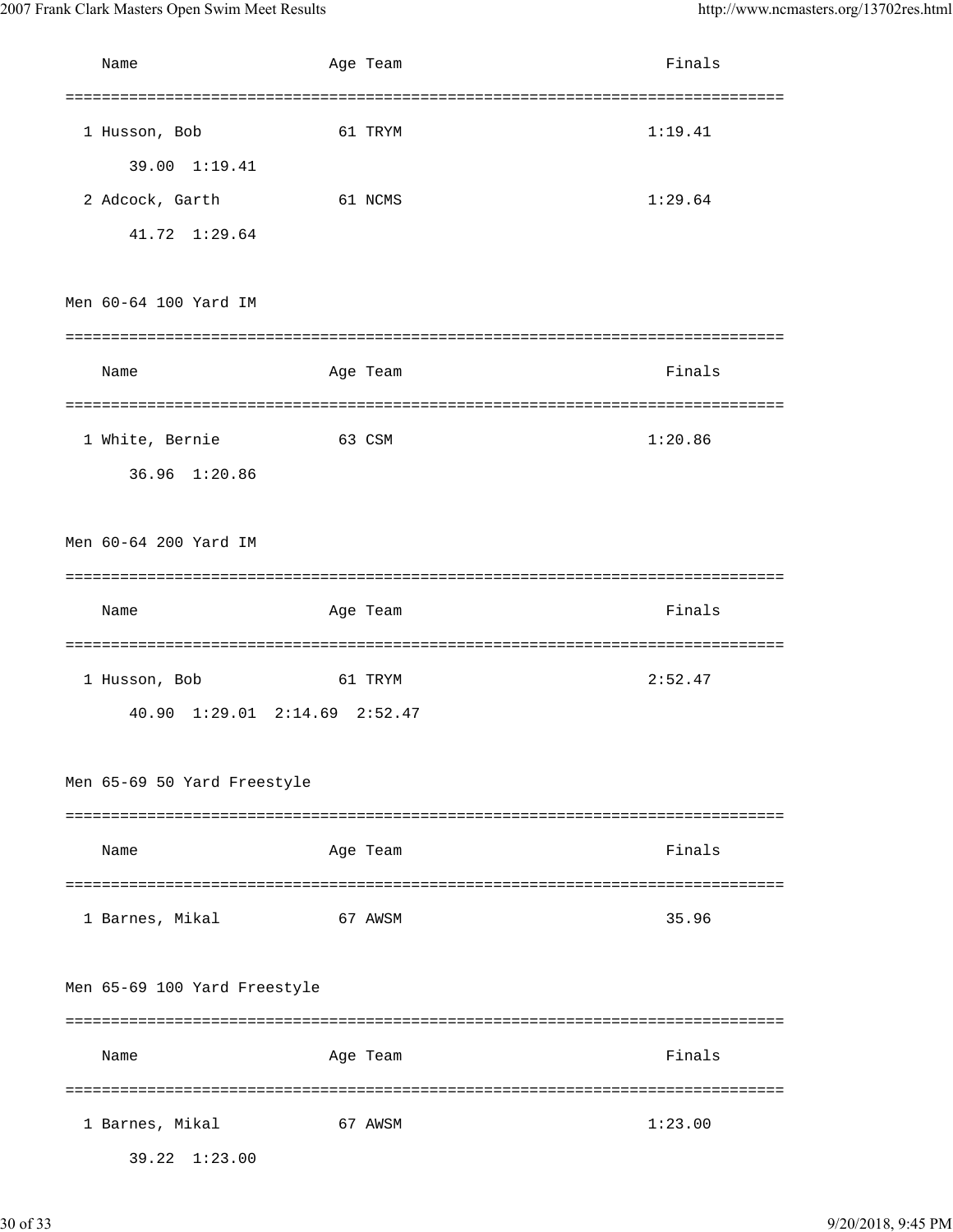| Name                         | Age Team                      | Finals     |
|------------------------------|-------------------------------|------------|
|                              |                               |            |
| 1 Husson, Bob                | 61 TRYM                       | 1:19.41    |
| 39.00 1:19.41                |                               |            |
| 2 Adcock, Garth              | 61 NCMS                       | 1:29.64    |
| 41.72 1:29.64                |                               |            |
|                              |                               |            |
| Men 60-64 100 Yard IM        |                               |            |
|                              |                               |            |
| Name                         | Age Team                      | Finals     |
|                              |                               |            |
| 1 White, Bernie              | 63 CSM                        | 1:20.86    |
| 36.96 1:20.86                |                               |            |
|                              |                               |            |
| Men 60-64 200 Yard IM        |                               |            |
|                              |                               |            |
| Name                         | Age Team                      | Finals     |
|                              |                               | ========== |
| 1 Husson, Bob                | 61 TRYM                       | 2:52.47    |
|                              | 40.90 1:29.01 2:14.69 2:52.47 |            |
|                              |                               |            |
| Men 65-69 50 Yard Freestyle  |                               |            |
|                              |                               |            |
| Name                         | Age Team                      | Finals     |
|                              |                               |            |
| 1 Barnes, Mikal              | 67 AWSM                       | 35.96      |
|                              |                               |            |
| Men 65-69 100 Yard Freestyle |                               |            |
|                              |                               |            |
| Name                         | Age Team                      | Finals     |
|                              |                               |            |
| 1 Barnes, Mikal              | 67 AWSM                       | 1:23.00    |
| 39.22 1:23.00                |                               |            |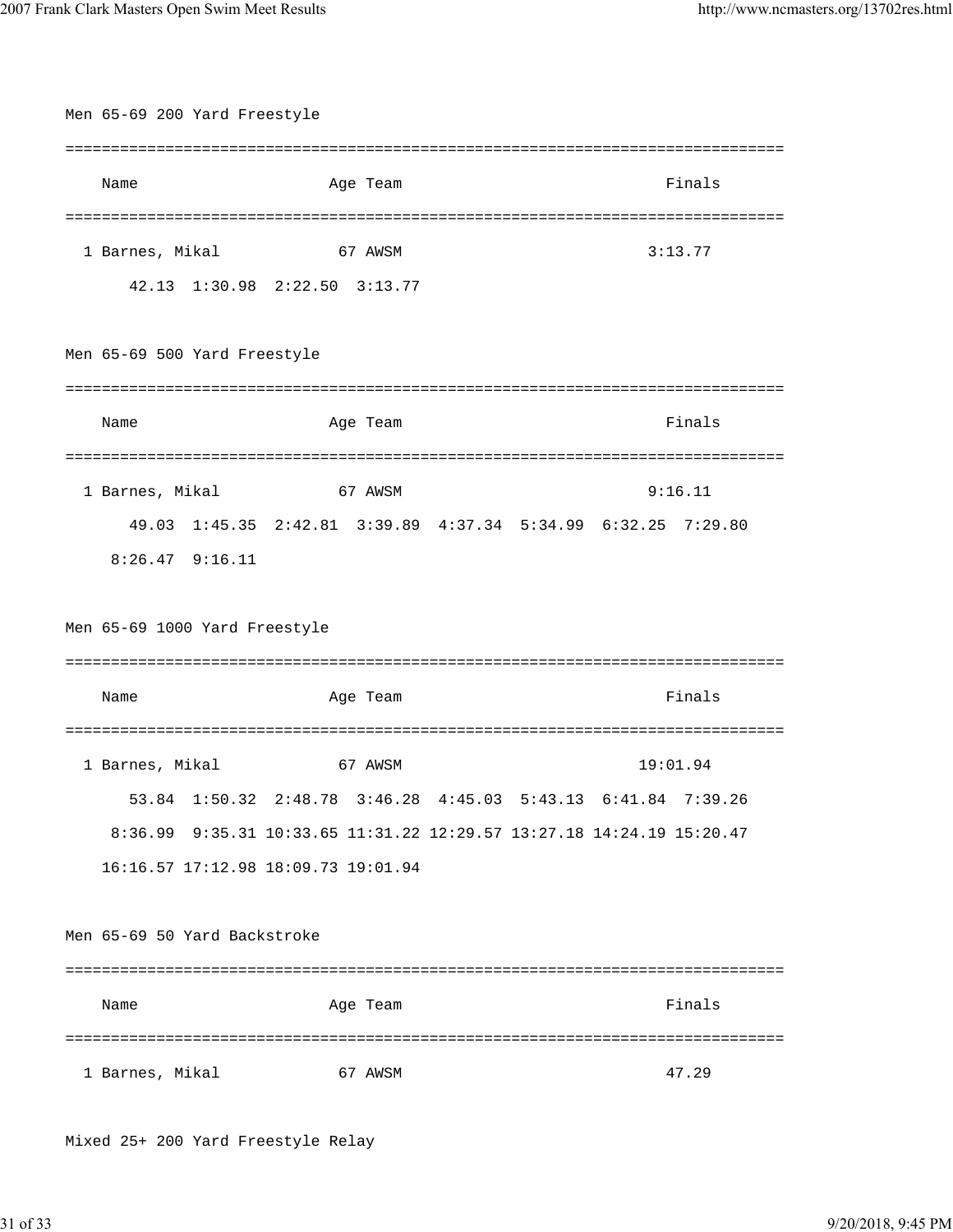|                               | Men 65-69 200 Yard Freestyle |                                                                              |  |            |
|-------------------------------|------------------------------|------------------------------------------------------------------------------|--|------------|
|                               |                              |                                                                              |  | ========== |
| Name                          |                              | Age Team                                                                     |  | Finals     |
|                               |                              |                                                                              |  |            |
| 1 Barnes, Mikal               |                              | 67 AWSM                                                                      |  | 3:13.77    |
|                               |                              | 42.13 1:30.98 2:22.50 3:13.77                                                |  |            |
| Men 65-69 500 Yard Freestyle  |                              |                                                                              |  |            |
| Name                          |                              | Age Team                                                                     |  | Finals     |
|                               |                              |                                                                              |  |            |
| 1 Barnes, Mikal               |                              | 67 AWSM                                                                      |  | 9:16.11    |
|                               |                              | 49.03 1:45.35 2:42.81 3:39.89 4:37.34 5:34.99 6:32.25 7:29.80                |  |            |
| $8:26.47$ $9:16.11$           |                              |                                                                              |  |            |
| Men 65-69 1000 Yard Freestyle |                              |                                                                              |  |            |
|                               |                              |                                                                              |  |            |
| Name                          |                              | Age Team                                                                     |  | Finals     |
|                               |                              |                                                                              |  |            |
| 1 Barnes, Mikal               |                              | 67 AWSM                                                                      |  | 19:01.94   |
|                               |                              | 53.84 1:50.32 2:48.78 3:46.28 4:45.03 5:43.13 6:41.84 7:39.26                |  |            |
|                               |                              | 8:36.99  9:35.31  10:33.65  11:31.22  12:29.57  13:27.18  14:24.19  15:20.47 |  |            |
|                               |                              | 16:16.57 17:12.98 18:09.73 19:01.94                                          |  |            |
| Men 65-69 50 Yard Backstroke  |                              |                                                                              |  |            |
| Name                          |                              | Age Team                                                                     |  | Finals     |

Mixed 25+ 200 Yard Freestyle Relay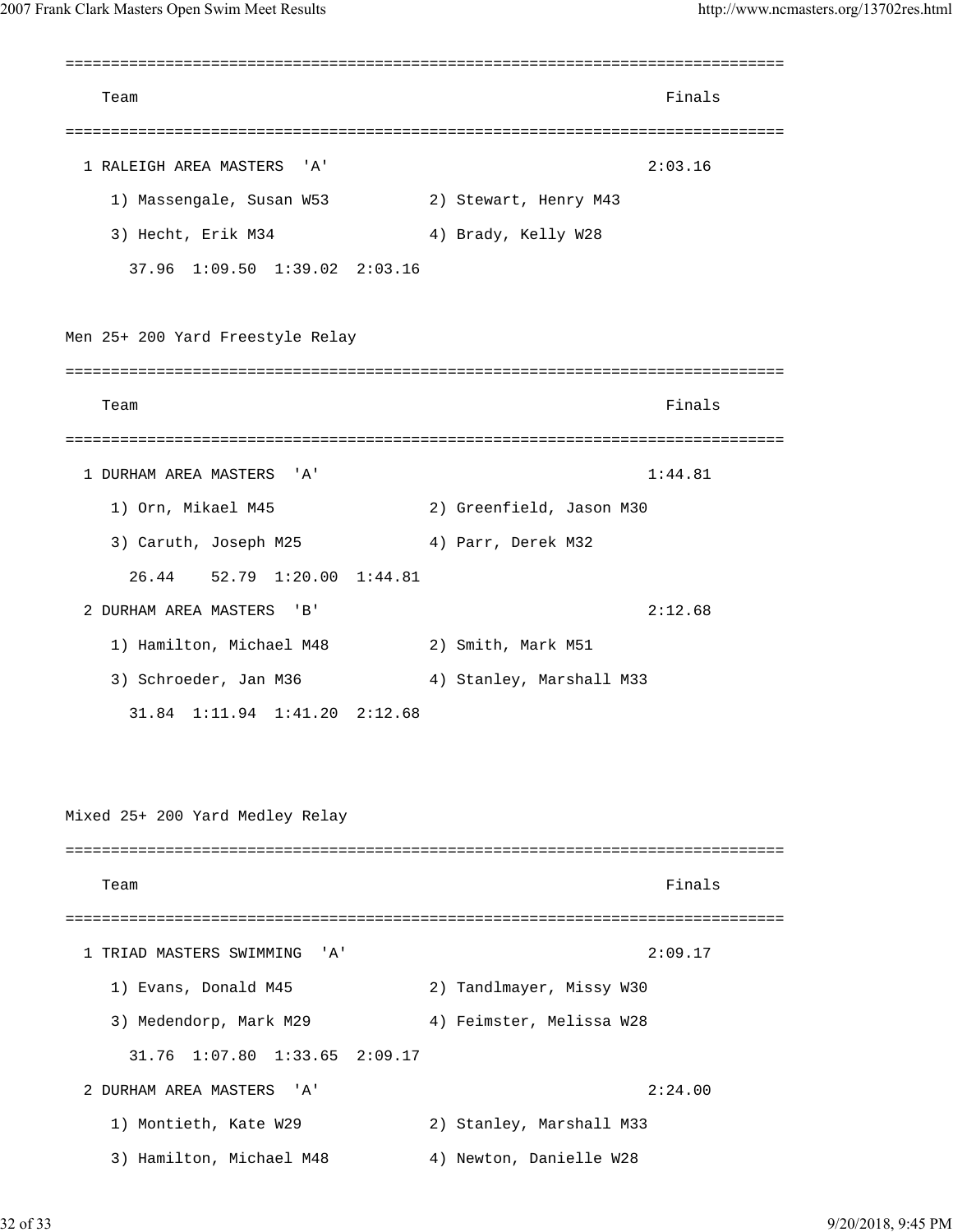=============================================================================== Team Finals and the contract of the contract of the contract of the contract of the contract of the contract of the contract of the contract of the contract of the contract of the contract of the contract of the contract o =============================================================================== 1 RALEIGH AREA MASTERS 'A' 2:03.16 1) Massengale, Susan W53 2) Stewart, Henry M43 3) Hecht, Erik M34 4) Brady, Kelly W28 37.96 1:09.50 1:39.02 2:03.16 Men 25+ 200 Yard Freestyle Relay =============================================================================== Team Finals and the contract of the contract of the contract of the contract of the contract of the contract of the contract of the contract of the contract of the contract of the contract of the contract of the contract o =============================================================================== 1 DURHAM AREA MASTERS 'A' 1:44.81 1) Orn, Mikael M45 2) Greenfield, Jason M30 3) Caruth, Joseph M25 4) Parr, Derek M32 26.44 52.79 1:20.00 1:44.81 2 DURHAM AREA MASTERS 'B' 2:12.68 1) Hamilton, Michael M48 2) Smith, Mark M51 3) Schroeder, Jan M36 4) Stanley, Marshall M33 31.84 1:11.94 1:41.20 2:12.68 Mixed 25+ 200 Yard Medley Relay =============================================================================== Team Finals and the contract of the contract of the contract of the contract of the contract of the contract of the contract of the contract of the contract of the contract of the contract of the contract of the contract o =============================================================================== 1 TRIAD MASTERS SWIMMING 'A' 2:09.17 1) Evans, Donald M45 2) Tandlmayer, Missy W30 3) Medendorp, Mark M29 4) Feimster, Melissa W28 31.76 1:07.80 1:33.65 2:09.17 2 DURHAM AREA MASTERS 'A' 2:24.00 1) Montieth, Kate W29 2) Stanley, Marshall M33 3) Hamilton, Michael M48 4) Newton, Danielle W28